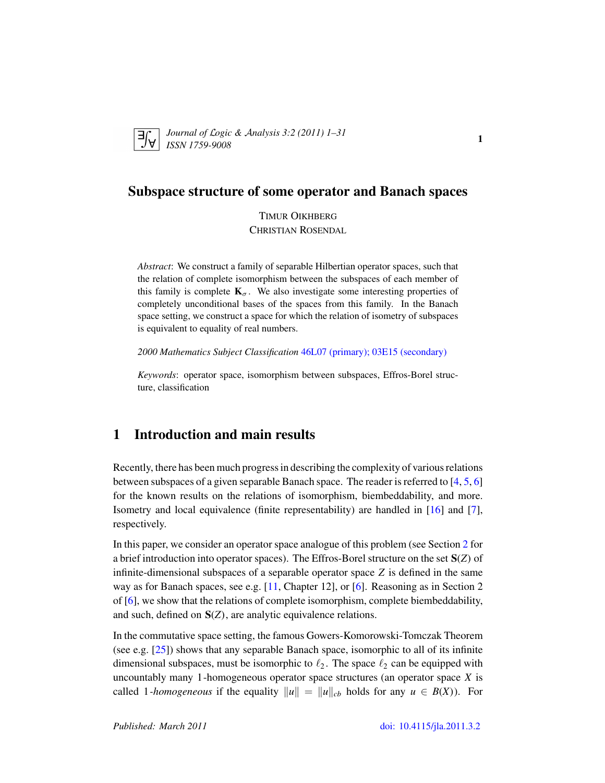

*Journal of* L*ogic &* A*nalysis 3:2 (2011) 1–31 ISSN 1759-9008* 1

# Subspace structure of some operator and Banach spaces

TIMUR OIKHBERG CHRISTIAN ROSENDAL

*Abstract*: We construct a family of separable Hilbertian operator spaces, such that the relation of complete isomorphism between the subspaces of each member of this family is complete  $\mathbf{K}_{\sigma}$ . We also investigate some interesting properties of completely unconditional bases of the spaces from this family. In the Banach space setting, we construct a space for which the relation of isometry of subspaces is equivalent to equality of real numbers.

*2000 Mathematics Subject Classification* [46L07 \(primary\); 03E15 \(secondary\)](http://www.ams.org/mathscinet/search/mscdoc.html?code=46L07,(03E15))

*Keywords*: operator space, isomorphism between subspaces, Effros-Borel structure, classification

## 1 Introduction and main results

Recently, there has been much progress in describing the complexity of various relations between subspaces of a given separable Banach space. The reader is referred to [\[4,](#page-29-0) [5,](#page-29-1) [6\]](#page-29-2) for the known results on the relations of isomorphism, biembeddability, and more. Isometry and local equivalence (finite representability) are handled in [\[16\]](#page-29-3) and [\[7\]](#page-29-4), respectively.

In this paper, we consider an operator space analogue of this problem (see Section [2](#page-3-0) for a brief introduction into operator spaces). The Effros-Borel structure on the set S(*Z*) of infinite-dimensional subspaces of a separable operator space *Z* is defined in the same way as for Banach spaces, see e.g. [\[11,](#page-29-5) Chapter 12], or [\[6\]](#page-29-2). Reasoning as in Section 2 of [\[6\]](#page-29-2), we show that the relations of complete isomorphism, complete biembeddability, and such, defined on S(*Z*), are analytic equivalence relations.

In the commutative space setting, the famous Gowers-Komorowski-Tomczak Theorem (see e.g. [\[25\]](#page-30-0)) shows that any separable Banach space, isomorphic to all of its infinite dimensional subspaces, must be isomorphic to  $\ell_2$ . The space  $\ell_2$  can be equipped with uncountably many 1-homogeneous operator space structures (an operator space *X* is called 1*-homogeneous* if the equality  $||u|| = ||u||_{cb}$  holds for any  $u \in B(X)$ ). For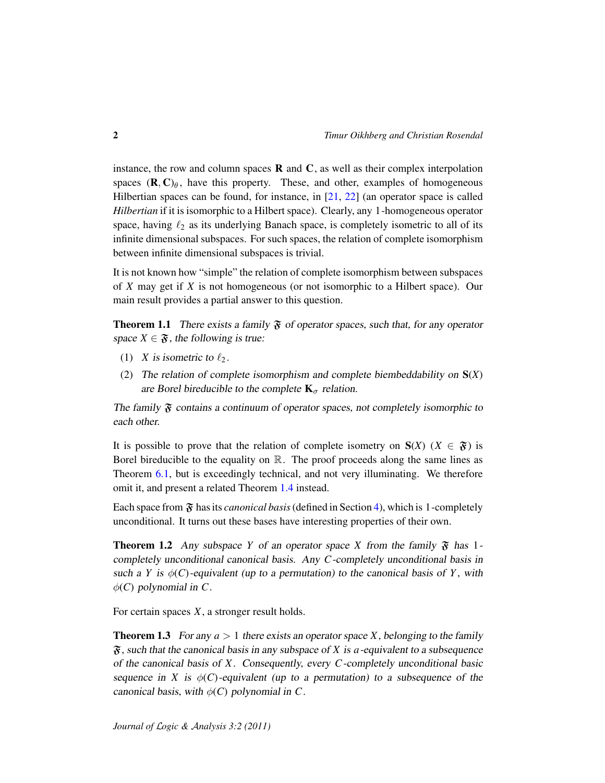instance, the row and column spaces  **and**  $**C**$ **, as well as their complex interpolation** spaces  $(\mathbf{R}, \mathbf{C})_{\theta}$ , have this property. These, and other, examples of homogeneous Hilbertian spaces can be found, for instance, in  $[21, 22]$  $[21, 22]$  $[21, 22]$  (an operator space is called *Hilbertian* if it is isomorphic to a Hilbert space). Clearly, any 1-homogeneous operator space, having  $\ell_2$  as its underlying Banach space, is completely isometric to all of its infinite dimensional subspaces. For such spaces, the relation of complete isomorphism between infinite dimensional subspaces is trivial.

It is not known how "simple" the relation of complete isomorphism between subspaces of *X* may get if *X* is not homogeneous (or not isomorphic to a Hilbert space). Our main result provides a partial answer to this question.

<span id="page-1-2"></span>**Theorem 1.1** There exists a family  $\mathfrak F$  of operator spaces, such that, for any operator space  $X \in \mathfrak{F}$ , the following is true:

- (1) *X* is isometric to  $\ell_2$ .
- (2) The relation of complete isomorphism and complete biembeddability on S(*X*) are Borel bireducible to the complete  $\mathbf{K}_{\sigma}$  relation.

The family  $\mathfrak F$  contains a continuum of operator spaces, not completely isomorphic to each other.

It is possible to prove that the relation of complete isometry on  $S(X)$  ( $X \in \mathfrak{F}$ ) is Borel bireducible to the equality on  $\mathbb R$ . The proof proceeds along the same lines as Theorem [6.1,](#page-22-0) but is exceedingly technical, and not very illuminating. We therefore omit it, and present a related Theorem [1.4](#page-2-0) instead.

Each space from  $\mathfrak F$  has its *canonical basis* (defined in Section [4\)](#page-11-0), which is 1-completely unconditional. It turns out these bases have interesting properties of their own.

<span id="page-1-0"></span>**Theorem 1.2** Any subspace *Y* of an operator space *X* from the family  $\mathfrak{F}$  has 1completely unconditional canonical basis. Any *C*-completely unconditional basis in such a *Y* is  $\phi$ (*C*)-equivalent (up to a permutation) to the canonical basis of *Y*, with  $\phi$ (*C*) polynomial in *C*.

For certain spaces *X*, a stronger result holds.

<span id="page-1-1"></span>**Theorem 1.3** For any  $a > 1$  there exists an operator space *X*, belonging to the family F, such that the canonical basis in any subspace of *X* is *a*-equivalent to a subsequence of the canonical basis of *X*. Consequently, every *C*-completely unconditional basic sequence in *X* is  $\phi$ (*C*)-equivalent (up to a permutation) to a subsequence of the canonical basis, with  $\phi(C)$  polynomial in C.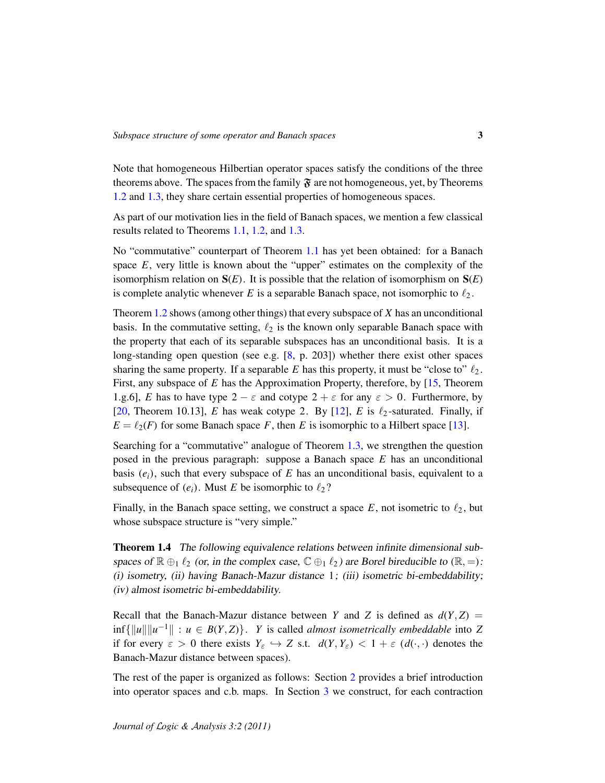Note that homogeneous Hilbertian operator spaces satisfy the conditions of the three theorems above. The spaces from the family  $\mathfrak{F}$  are not homogeneous, yet, by Theorems [1.2](#page-1-0) and [1.3,](#page-1-1) they share certain essential properties of homogeneous spaces.

As part of our motivation lies in the field of Banach spaces, we mention a few classical results related to Theorems [1.1,](#page-1-2) [1.2,](#page-1-0) and [1.3.](#page-1-1)

No "commutative" counterpart of Theorem [1.1](#page-1-2) has yet been obtained: for a Banach space *E*, very little is known about the "upper" estimates on the complexity of the isomorphism relation on  $S(E)$ . It is possible that the relation of isomorphism on  $S(E)$ is complete analytic whenever  $E$  is a separable Banach space, not isomorphic to  $\ell_2$ .

Theorem [1.2](#page-1-0) shows (among other things) that every subspace of *X* has an unconditional basis. In the commutative setting,  $\ell_2$  is the known only separable Banach space with the property that each of its separable subspaces has an unconditional basis. It is a long-standing open question (see e.g. [\[8,](#page-29-6) p. 203]) whether there exist other spaces sharing the same property. If a separable *E* has this property, it must be "close to"  $\ell_2$ . First, any subspace of *E* has the Approximation Property, therefore, by [\[15,](#page-29-7) Theorem 1.g.6], *E* has to have type  $2 - \varepsilon$  and cotype  $2 + \varepsilon$  for any  $\varepsilon > 0$ . Furthermore, by [\[20,](#page-30-3) Theorem 10.13], *E* has weak cotype 2. By [\[12\]](#page-29-8), *E* is  $\ell_2$ -saturated. Finally, if  $E = \ell_2(F)$  for some Banach space *F*, then *E* is isomorphic to a Hilbert space [\[13\]](#page-29-9).

Searching for a "commutative" analogue of Theorem [1.3,](#page-1-1) we strengthen the question posed in the previous paragraph: suppose a Banach space *E* has an unconditional basis  $(e_i)$ , such that every subspace of  $E$  has an unconditional basis, equivalent to a subsequence of  $(e_i)$ . Must *E* be isomorphic to  $\ell_2$ ?

Finally, in the Banach space setting, we construct a space  $E$ , not isometric to  $\ell_2$ , but whose subspace structure is "very simple."

<span id="page-2-0"></span>Theorem 1.4 The following equivalence relations between infinite dimensional subspaces of  $\mathbb{R} \oplus_1 \ell_2$  (or, in the complex case,  $\mathbb{C} \oplus_1 \ell_2$ ) are Borel bireducible to  $(\mathbb{R}, =)$ : (i) isometry, (ii) having Banach-Mazur distance 1; (iii) isometric bi-embeddability; (iv) almost isometric bi-embeddability.

Recall that the Banach-Mazur distance between *Y* and *Z* is defined as  $d(Y, Z) =$  $\inf \{ ||u|| ||u^{-1}|| : u \in B(Y,Z) \}.$  *Y* is called *almost isometrically embeddable* into *Z* if for every  $\varepsilon > 0$  there exists  $Y_{\varepsilon} \hookrightarrow Z$  s.t.  $d(Y, Y_{\varepsilon}) < 1 + \varepsilon (d(\cdot, \cdot))$  denotes the Banach-Mazur distance between spaces).

The rest of the paper is organized as follows: Section [2](#page-3-0) provides a brief introduction into operator spaces and c.b. maps. In Section [3](#page-6-0) we construct, for each contraction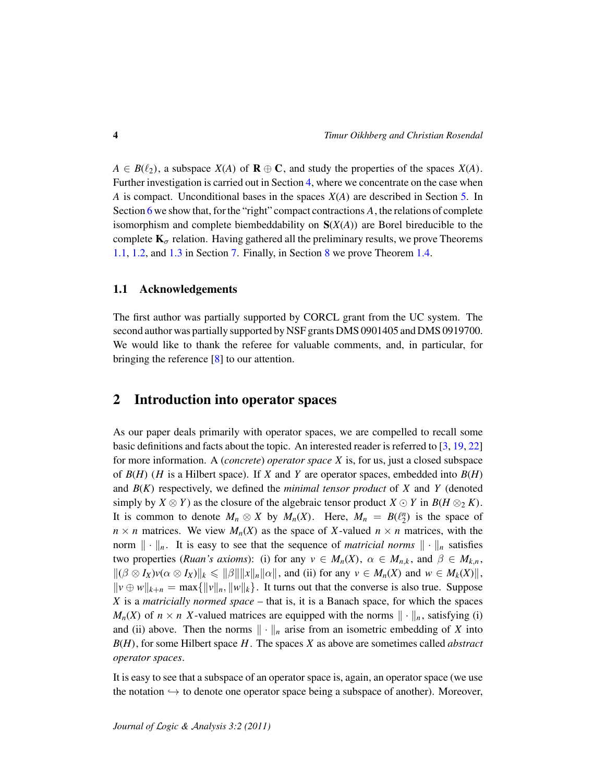$A \in B(\ell_2)$ , a subspace  $X(A)$  of  $\mathbf{R} \oplus \mathbf{C}$ , and study the properties of the spaces  $X(A)$ . Further investigation is carried out in Section [4,](#page-11-0) where we concentrate on the case when *A* is compact. Unconditional bases in the spaces *X*(*A*) are described in Section [5.](#page-16-0) In Section [6](#page-21-0) we show that, for the "right" compact contractions A, the relations of complete isomorphism and complete biembeddability on S(*X*(*A*)) are Borel bireducible to the complete  $K_{\sigma}$  relation. Having gathered all the preliminary results, we prove Theorems [1.1,](#page-1-2) [1.2,](#page-1-0) and [1.3](#page-1-1) in Section [7.](#page-25-0) Finally, in Section [8](#page-26-0) we prove Theorem [1.4.](#page-2-0)

#### 1.1 Acknowledgements

The first author was partially supported by CORCL grant from the UC system. The second author was partially supported by NSF grants DMS 0901405 and DMS 0919700. We would like to thank the referee for valuable comments, and, in particular, for bringing the reference [\[8\]](#page-29-6) to our attention.

### <span id="page-3-0"></span>2 Introduction into operator spaces

As our paper deals primarily with operator spaces, we are compelled to recall some basic definitions and facts about the topic. An interested reader is referred to [\[3,](#page-29-10) [19,](#page-30-4) [22\]](#page-30-2) for more information. A (*concrete*) *operator space X* is, for us, just a closed subspace of *B*(*H*) (*H* is a Hilbert space). If *X* and *Y* are operator spaces, embedded into *B*(*H*) and *B*(*K*) respectively, we defined the *minimal tensor product* of *X* and *Y* (denoted simply by  $X \otimes Y$  as the closure of the algebraic tensor product  $X \odot Y$  in  $B(H \otimes_2 K)$ . It is common to denote  $M_n \otimes X$  by  $M_n(X)$ . Here,  $M_n = B(\ell_2^n)$  is the space of  $n \times n$  matrices. We view  $M_n(X)$  as the space of *X*-valued  $n \times n$  matrices, with the norm  $\|\cdot\|_n$ . It is easy to see that the sequence of *matricial norms*  $\|\cdot\|_n$  satisfies two properties (*Ruan's axioms*): (i) for any  $v \in M_n(X)$ ,  $\alpha \in M_{n,k}$ , and  $\beta \in M_{k,n}$ ,  $||(\beta \otimes I_X)v(\alpha \otimes I_X)||_k \leq ||\beta|| ||x||_n ||\alpha||$ , and (ii) for any  $v \in M_n(X)$  and  $w \in M_k(X)||$ ,  $||v \oplus w||_{k+n} = \max{||v||_n, ||w||_k}$ . It turns out that the converse is also true. Suppose *X* is a *matricially normed space* – that is, it is a Banach space, for which the spaces  $M_n(X)$  of  $n \times n$  *X*-valued matrices are equipped with the norms  $\|\cdot\|_n$ , satisfying (i) and (ii) above. Then the norms  $\|\cdot\|_n$  arise from an isometric embedding of *X* into *B*(*H*), for some Hilbert space *H*. The spaces *X* as above are sometimes called *abstract operator spaces*.

It is easy to see that a subspace of an operator space is, again, an operator space (we use the notation  $\hookrightarrow$  to denote one operator space being a subspace of another). Moreover,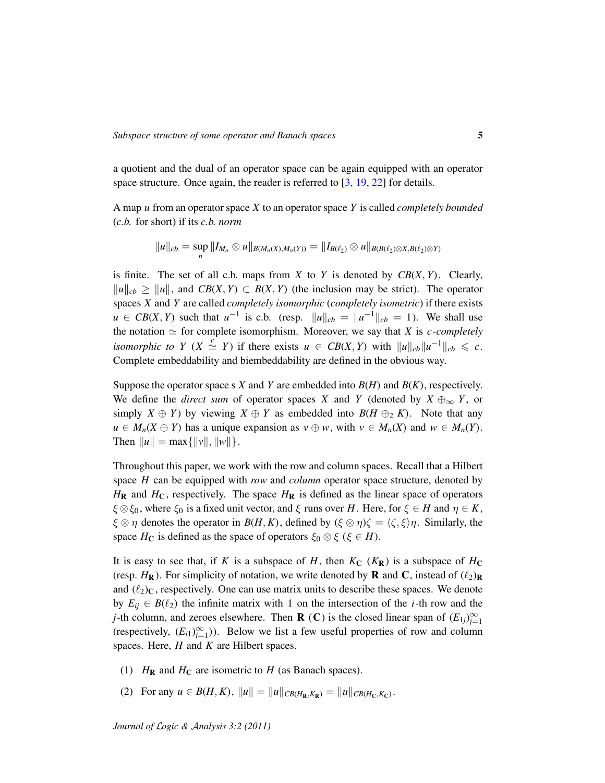a quotient and the dual of an operator space can be again equipped with an operator space structure. Once again, the reader is referred to [\[3,](#page-29-10) [19,](#page-30-4) [22\]](#page-30-2) for details.

A map *u* from an operator space *X* to an operator space *Y* is called *completely bounded* (*c.b.* for short) if its *c.b. norm*

$$
||u||_{cb} = \sup_n ||I_{M_n} \otimes u||_{B(M_n(X),M_n(Y))} = ||I_{B(\ell_2)} \otimes u||_{B(B(\ell_2) \otimes X, B(\ell_2) \otimes Y)}
$$

is finite. The set of all c.b. maps from  $X$  to  $Y$  is denoted by  $CB(X, Y)$ . Clearly,  $||u||_{cb} \ge ||u||$ , and *CB*(*X*, *Y*) ⊂ *B*(*X*, *Y*) (the inclusion may be strict). The operator spaces *X* and *Y* are called *completely isomorphic* (*completely isometric*) if there exists  $u \in CB(X, Y)$  such that  $u^{-1}$  is c.b. (resp.  $||u||_{cb} = ||u^{-1}||_{cb} = 1$ ). We shall use the notation  $\simeq$  for complete isomorphism. Moreover, we say that *X* is *c*-completely *isomorphic to Y* (*X*  $\stackrel{c}{\simeq} Y$ ) if there exists  $u \in CB(X, Y)$  with  $||u||_{cb}||u^{-1}||_{cb} \leqslant c$ . Complete embeddability and biembeddability are defined in the obvious way.

Suppose the operator space s *X* and *Y* are embedded into  $B(H)$  and  $B(K)$ , respectively. We define the *direct sum* of operator spaces *X* and *Y* (denoted by  $X \oplus_{\infty} Y$ , or simply  $X \oplus Y$ ) by viewing  $X \oplus Y$  as embedded into  $B(H \oplus_2 K)$ . Note that any *u* ∈ *M*<sub>*n*</sub>(*X* ⊕ *Y*) has a unique expansion as *v* ⊕ *w*, with *v* ∈ *M*<sub>*n*</sub>(*X*) and *w* ∈ *M*<sub>*n*</sub>(*Y*). Then  $\|u\| = \max{\{|v\|, \|w\|}\}.$ 

Throughout this paper, we work with the row and column spaces. Recall that a Hilbert space *H* can be equipped with *row* and *column* operator space structure, denoted by  $H_R$  and  $H_C$ , respectively. The space  $H_R$  is defined as the linear space of operators  $\xi \otimes \xi_0$ , where  $\xi_0$  is a fixed unit vector, and  $\xi$  runs over *H*. Here, for  $\xi \in H$  and  $\eta \in K$ ,  $\xi \otimes \eta$  denotes the operator in  $B(H, K)$ , defined by  $(\xi \otimes \eta)\zeta = \langle \zeta, \xi \rangle \eta$ . Similarly, the space  $H_C$  is defined as the space of operators  $\xi_0 \otimes \xi$  ( $\xi \in H$ ).

It is easy to see that, if *K* is a subspace of *H*, then  $K_C$  ( $K_R$ ) is a subspace of  $H_C$ (resp.  $H_{\mathbf{R}}$ ). For simplicity of notation, we write denoted by **R** and **C**, instead of  $(\ell_2)_{\mathbf{R}}$ and  $(\ell_2)_C$ , respectively. One can use matrix units to describe these spaces. We denote by  $E_{ij} \in B(\ell_2)$  the infinite matrix with 1 on the intersection of the *i*-th row and the *j*-th column, and zeroes elsewhere. Then **R** (**C**) is the closed linear span of  $(E_{1j})_{j=1}^{\infty}$ (respectively,  $(E_{i1})_{i=1}^{\infty}$ )). Below we list a few useful properties of row and column spaces. Here, *H* and *K* are Hilbert spaces.

- (1)  $H_{\mathbf{R}}$  and  $H_{\mathbf{C}}$  are isometric to  $H$  (as Banach spaces).
- (2) For any  $u \in B(H, K)$ ,  $||u|| = ||u||_{CB(H_{\mathbf{R}}, K_{\mathbf{R}})} = ||u||_{CB(H_{\mathbf{C}}, K_{\mathbf{C}})}$ .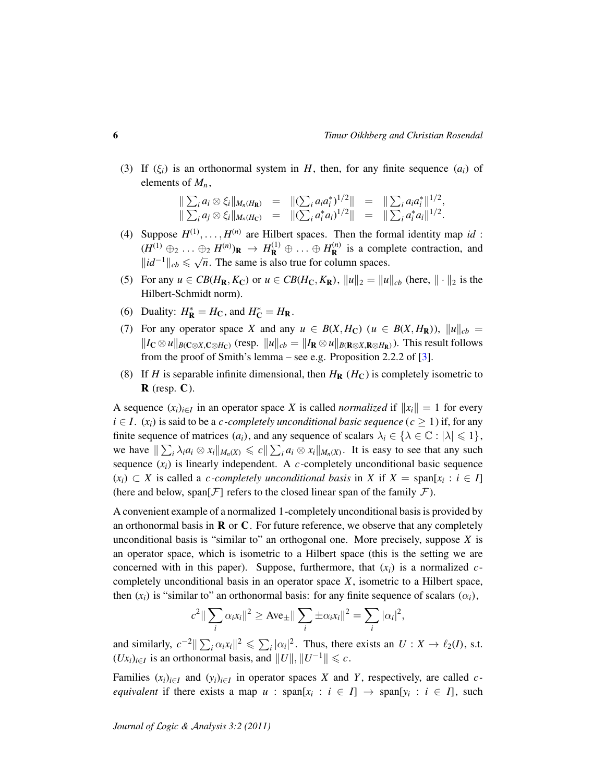(3) If  $(\xi_i)$  is an orthonormal system in *H*, then, for any finite sequence  $(a_i)$  of elements of  $M_n$ ,

$$
\|\sum_i a_i \otimes \xi_i\|_{M_n(H_{\mathbf{R}})} = \|\left(\sum_i a_i a_i^*\right)^{1/2}\| = \|\sum_i a_i a_i^*\|^{1/2},
$$
  

$$
\|\sum_i a_j \otimes \xi_i\|_{M_n(H_{\mathbf{C}})} = \|\left(\sum_i a_i^* a_i\right)^{1/2}\| = \|\sum_i a_i^* a_i\|^{1/2}.
$$

- (4) Suppose  $H^{(1)}, \ldots, H^{(n)}$  are Hilbert spaces. Then the formal identity map *id*:  $(H^{(1)} \oplus_2 \ldots \oplus_2 H^{(n)})$ **R**  $\to H^{(1)}$ **R**  $\oplus \ldots \oplus H^{(n)}$ **R**  $\oplus_2 H^{(n)}_{\mathbb{R}} \rightarrow H^{(1)}_{\mathbb{R}} \oplus \ldots \oplus H^{(n)}_{\mathbb{R}}$  is a complete contraction, and  $\Vert id^{-1} \Vert_{cb} \leqslant \sqrt{n}$ . The same is also true for column spaces.
- (5) For any  $u \in CB(H_{\mathbf{R}}, K_{\mathbf{C}})$  or  $u \in CB(H_{\mathbf{C}}, K_{\mathbf{R}}), ||u||_2 = ||u||_{cb}$  (here,  $|| \cdot ||_2$  is the Hilbert-Schmidt norm).
- (6) Duality:  $H_{\mathbf{R}}^* = H_{\mathbf{C}}$ , and  $H_{\mathbf{C}}^* = H_{\mathbf{R}}$ .
- (7) For any operator space *X* and any  $u \in B(X, H_C)$  ( $u \in B(X, H_R)$ ),  $||u||_{cb} =$  $||I_{\mathbf{C}} \otimes u||_{B(\mathbf{C} \otimes X, \mathbf{C} \otimes H_{\mathbf{C}})}$  (resp.  $||u||_{cb} = ||I_{\mathbf{R}} \otimes u||_{B(\mathbf{R} \otimes X, \mathbf{R} \otimes H_{\mathbf{R}})}$ ). This result follows from the proof of Smith's lemma – see e.g. Proposition 2.2.2 of [\[3\]](#page-29-10).
- (8) If *H* is separable infinite dimensional, then  $H_R$  ( $H_C$ ) is completely isometric to  $\bf R$  (resp.  $\bf C$ ).

A sequence  $(x_i)_{i \in I}$  in an operator space *X* is called *normalized* if  $||x_i|| = 1$  for every *i* ∈ *I*. ( $x_i$ ) is said to be a *c*-*completely unconditional basic sequence* ( $c$  ≥ 1) if, for any finite sequence of matrices  $(a_i)$ , and any sequence of scalars  $\lambda_i \in \{\lambda \in \mathbb{C} : |\lambda| \leq 1\},$ we have  $\sum_i \lambda_i a_i \otimes x_i \|_{M_n(X)} \leq c \|\sum_i a_i \otimes x_i\|_{M_n(X)}$ . It is easy to see that any such sequence  $(x_i)$  is linearly independent. A  $c$ -completely unconditional basic sequence  $(x_i)$  ⊂ *X* is called a *c*-completely unconditional basis in *X* if *X* = span[ $x_i$  : *i* ∈ *I*] (here and below, span $[F]$  refers to the closed linear span of the family  $F$ ).

A convenient example of a normalized 1-completely unconditional basis is provided by an orthonormal basis in  **or**  $**C**$ **. For future reference, we observe that any completely** unconditional basis is "similar to" an orthogonal one. More precisely, suppose *X* is an operator space, which is isometric to a Hilbert space (this is the setting we are concerned with in this paper). Suppose, furthermore, that  $(x_i)$  is a normalized *c*completely unconditional basis in an operator space *X*, isometric to a Hilbert space, then  $(x_i)$  is "similar to" an orthonormal basis: for any finite sequence of scalars  $(\alpha_i)$ ,

$$
c^2 \|\sum_i \alpha_i x_i\|^2 \geq \text{Ave}_{\pm} \|\sum_i \pm \alpha_i x_i\|^2 = \sum_i |\alpha_i|^2,
$$

and similarly,  $c^{-2} \|\sum_i \alpha_i x_i\|^2 \leq \sum_i |\alpha_i|^2$ . Thus, there exists an  $U: X \to \ell_2(I)$ , s.t.  $(Ux_i)_{i \in I}$  is an orthonormal basis, and  $||U||$ ,  $||U^{-1}||$  ≤ *c*.

Families  $(x_i)_{i \in I}$  and  $(y_i)_{i \in I}$  in operator spaces *X* and *Y*, respectively, are called *cequivalent* if there exists a map *u* :  $\text{span}[x_i : i \in I] \rightarrow \text{span}[y_i : i \in I]$ , such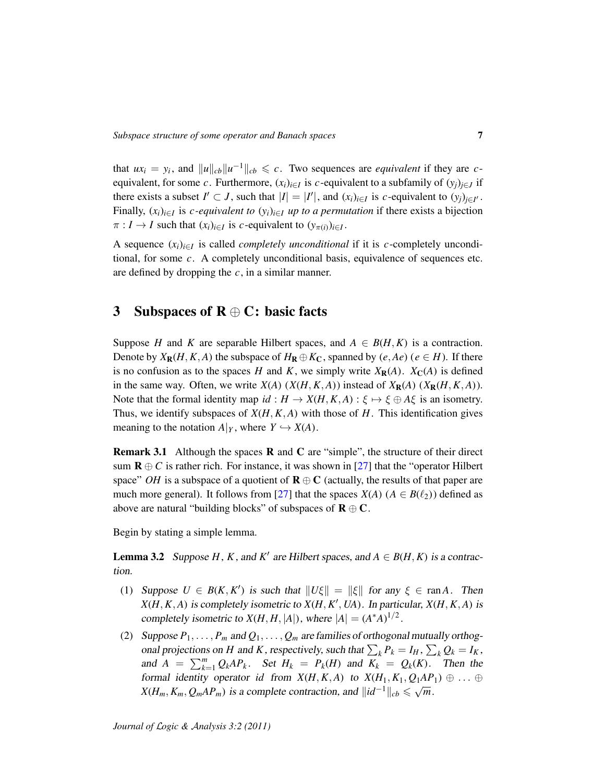that  $ux_i = y_i$ , and  $||u||_{cb}||u^{-1}||_{cb} \leq c$ . Two sequences are *equivalent* if they are *c*equivalent, for some *c*. Furthermore,  $(x_i)_{i \in I}$  is *c*-equivalent to a subfamily of  $(y_j)_{j \in J}$  if there exists a subset  $I' \subset J$ , such that  $|I| = |I'|$ , and  $(x_i)_{i \in I}$  is *c*-equivalent to  $(y_j)_{j \in I'}$ . Finally,  $(x_i)_{i \in I}$  is *c-equivalent to*  $(y_i)_{i \in I}$  *up to a permutation* if there exists a bijection  $\pi : I \to I$  such that  $(x_i)_{i \in I}$  is *c*-equivalent to  $(y_{\pi(i)})_{i \in I}$ .

A sequence  $(x_i)_{i \in I}$  is called *completely unconditional* if it is *c*-completely unconditional, for some *c*. A completely unconditional basis, equivalence of sequences etc. are defined by dropping the *c*, in a similar manner.

# <span id="page-6-0"></span>3 Subspaces of  $R \oplus C$ : basic facts

Suppose *H* and *K* are separable Hilbert spaces, and  $A \in B(H, K)$  is a contraction. Denote by  $X_{\mathbf{R}}(H, K, A)$  the subspace of  $H_{\mathbf{R}} \oplus K_{\mathbf{C}}$ , spanned by  $(e, Ae)$   $(e \in H)$ . If there is no confusion as to the spaces *H* and *K*, we simply write  $X_R(A)$ .  $X_C(A)$  is defined in the same way. Often, we write  $X(A)$  ( $X(H, K, A)$ ) instead of  $X_R(A)$  ( $X_R(H, K, A)$ ). Note that the formal identity map  $id : H \to X(H, K, A) : \xi \mapsto \xi \oplus A\xi$  is an isometry. Thus, we identify subspaces of *X*(*H*, *K*, *A*) with those of *H*. This identification gives meaning to the notation  $A|_Y$ , where  $Y \hookrightarrow X(A)$ .

Remark 3.1 Although the spaces R and C are "simple", the structure of their direct sum  $\mathbf{R} \oplus C$  is rather rich. For instance, it was shown in [\[27\]](#page-30-5) that the "operator Hilbert" space" *OH* is a subspace of a quotient of  $\mathbf{R} \oplus \mathbf{C}$  (actually, the results of that paper are much more general). It follows from [\[27\]](#page-30-5) that the spaces  $X(A)$  ( $A \in B(\ell_2)$ ) defined as above are natural "building blocks" of subspaces of  $\mathbf{R} \oplus \mathbf{C}$ .

Begin by stating a simple lemma.

<span id="page-6-1"></span>**Lemma 3.2** Suppose  $H$ ,  $K$ , and  $K'$  are Hilbert spaces, and  $A \in B(H, K)$  is a contraction.

- (1) Suppose  $U \in B(K, K')$  is such that  $||U\xi|| = ||\xi||$  for any  $\xi \in \text{ran } A$ . Then  $X(H, K, A)$  is completely isometric to  $X(H, K', UA)$ . In particular,  $X(H, K, A)$  is completely isometric to  $X(H, H, |A|)$ , where  $|A| = (A^*A)^{1/2}$ .
- (2) Suppose  $P_1, \ldots, P_m$  and  $Q_1, \ldots, Q_m$  are families of orthogonal mutually orthogonal projections on *H* and *K*, respectively, such that  $\sum_{k} P_k = I_H$ ,  $\sum_{k} Q_k = I_K$ , and  $A = \sum_{k=1}^{m} Q_k A P_k$ . Set  $H_k = P_k(H)$  and  $K_k = Q_k(K)$ . Then the formal identity operator *id* from  $X(H, K, A)$  to  $X(H_1, K_1, Q_1AP_1) \oplus \ldots \oplus$ <br> $X(H_1, K_1, Q_1AP_1) \oplus \ldots \oplus$  $X(H_m, K_m, Q_mAP_m)$  is a complete contraction, and  $||id^{-1}||_{cb} \leq \sqrt{m}$ .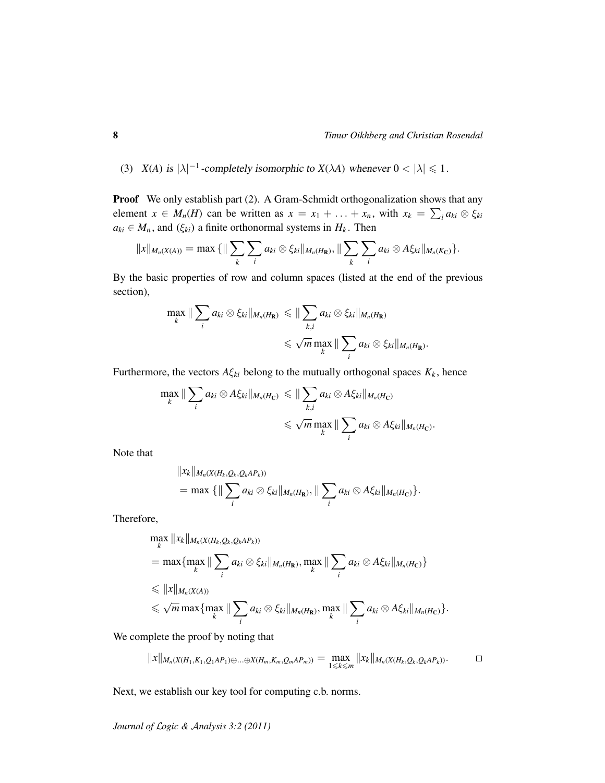(3) *X*(*A*) is  $|\lambda|^{-1}$ -completely isomorphic to *X*( $\lambda$ *A*) whenever  $0 < |\lambda| \le 1$ .

Proof We only establish part (2). A Gram-Schmidt orthogonalization shows that any element  $x \in M_n(H)$  can be written as  $x = x_1 + \ldots + x_n$ , with  $x_k = \sum_i a_{ki} \otimes \xi_{ki}$  $a_{ki} \in M_n$ , and  $(\xi_{ki})$  a finite orthonormal systems in  $H_k$ . Then

$$
||x||_{M_n(X(A))} = \max \{||\sum_{k} \sum_{i} a_{ki} \otimes \xi_{ki}||_{M_n(H_{\mathbf{R}})}, ||\sum_{k} \sum_{i} a_{ki} \otimes A \xi_{ki}||_{M_n(K_{\mathbf{C}})}\}.
$$

By the basic properties of row and column spaces (listed at the end of the previous section),

$$
\max_{k} \|\sum_{i} a_{ki} \otimes \xi_{ki} \|_{M_n(H_{\mathbf{R}})} \leq \|\sum_{k,i} a_{ki} \otimes \xi_{ki} \|_{M_n(H_{\mathbf{R}})}
$$
  

$$
\leq \sqrt{m} \max_{k} \|\sum_{i} a_{ki} \otimes \xi_{ki} \|_{M_n(H_{\mathbf{R}})}.
$$

Furthermore, the vectors  $A\xi_{ki}$  belong to the mutually orthogonal spaces  $K_k$ , hence

$$
\max_{k} \|\sum_{i} a_{ki} \otimes A \xi_{ki} \|_{M_n(H_C)} \leq \|\sum_{k,i} a_{ki} \otimes A \xi_{ki} \|_{M_n(H_C)}
$$
  

$$
\leq \sqrt{m} \max_{k} \|\sum_{i} a_{ki} \otimes A \xi_{ki} \|_{M_n(H_C)}.
$$

Note that

$$
||x_k||_{M_n(X(H_k,Q_k,Q_kAP_k))}
$$
  
= max {|| $\sum_i a_{ki} \otimes \xi_{ki}||_{M_n(H_{\mathbf{R}})}, ||\sum_i a_{ki} \otimes A \xi_{ki}||_{M_n(H_{\mathbf{C}})}.$ 

Therefore,

$$
\max_{k} ||x_{k}||_{M_{n}(X(H_{k}, Q_{k}, Q_{k}AP_{k}))}
$$
\n
$$
= \max \{ \max_{k} || \sum_{i} a_{ki} \otimes \xi_{ki} ||_{M_{n}(H_{\mathbf{R}})}, \max_{k} || \sum_{i} a_{ki} \otimes A \xi_{ki} ||_{M_{n}(H_{\mathbf{C}})} \}
$$
\n
$$
\leq ||x||_{M_{n}(X(A))}
$$
\n
$$
\leq \sqrt{m} \max \{ \max_{k} || \sum_{i} a_{ki} \otimes \xi_{ki} ||_{M_{n}(H_{\mathbf{R}})}, \max_{k} || \sum_{i} a_{ki} \otimes A \xi_{ki} ||_{M_{n}(H_{\mathbf{C}})} \}.
$$

We complete the proof by noting that

$$
||x||_{M_n(X(H_1,K_1,Q_1AP_1)\oplus...\oplus X(H_m,K_m,Q_mAP_m))}=\max_{1\leq k\leq m}||x_k||_{M_n(X(H_k,Q_k,Q_kAP_k))}.
$$

Next, we establish our key tool for computing c.b. norms.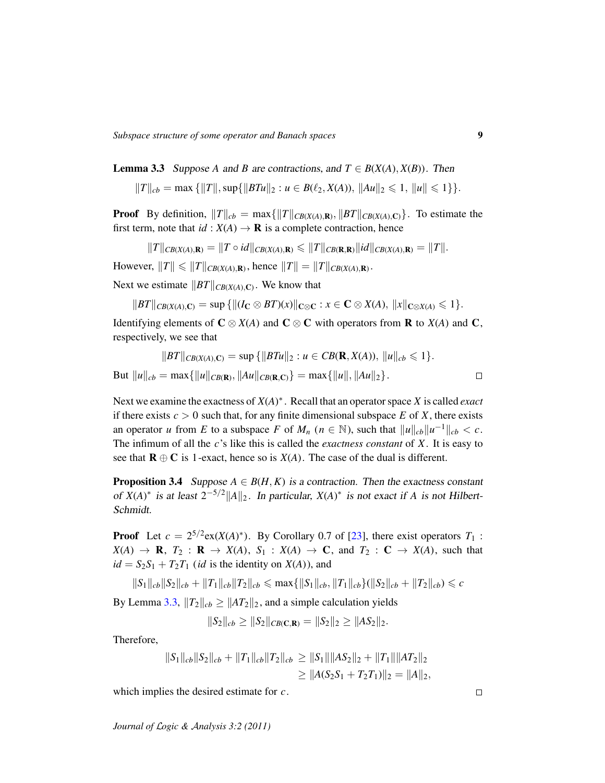*Subspace structure of some operator and Banach spaces* 9

<span id="page-8-0"></span>**Lemma 3.3** Suppose *A* and *B* are contractions, and  $T \in B(X(A), X(B))$ . Then

$$
||T||_{cb} = \max \{||T||, \sup\{||BTu||_2 : u \in B(\ell_2, X(A)), ||Au||_2 \leq 1, ||u|| \leq 1\}\}.
$$

**Proof** By definition,  $||T||_{cb} = \max\{||T||_{CB(X(A),\mathbf{R})}, ||BT||_{CB(X(A),\mathbf{C})}\}$ . To estimate the first term, note that  $id : X(A) \to \mathbf{R}$  is a complete contraction, hence

$$
||T||_{CB(X(A),\mathbf{R})} = ||T \circ id||_{CB(X(A),\mathbf{R})} \le ||T||_{CB(\mathbf{R},\mathbf{R})} ||id||_{CB(X(A),\mathbf{R})} = ||T||.
$$

However,  $||T|| \le ||T||_{CB(X(A),\mathbf{R})}$ , hence  $||T|| = ||T||_{CB(X(A),\mathbf{R})}$ .

Next we estimate  $||BT||_{CB(X(A),\mathbb{C})}$ . We know that

$$
||BT||_{CB(X(A),\mathbf{C})} = \sup \{ ||(I_{\mathbf{C}} \otimes BT)(x)||_{\mathbf{C} \otimes \mathbf{C}} : x \in \mathbf{C} \otimes X(A), ||x||_{\mathbf{C} \otimes X(A)} \leq 1 \}.
$$

Identifying elements of  $C \otimes X(A)$  and  $C \otimes C$  with operators from **R** to  $X(A)$  and C, respectively, we see that

$$
||BT||_{CB(X(A),\mathbf{C})} = \sup \{ ||BTu||_2 : u \in CB(\mathbf{R}, X(A)), ||u||_{cb} \le 1 \}.
$$
  
But  $||u||_{cb} = \max \{ ||u||_{CB(\mathbf{R}),} ||Au||_{CB(\mathbf{R},\mathbf{C})} \} = \max \{ ||u||, ||Au||_2 \}.$ 

Next we examine the exactness of *X*(*A*) ∗ . Recall that an operator space *X* is called *exact* if there exists  $c > 0$  such that, for any finite dimensional subspace  $E$  of  $X$ , there exists an operator *u* from *E* to a subspace *F* of  $M_n$  ( $n \in \mathbb{N}$ ), such that  $||u||_{cb}||u^{-1}||_{cb} < c$ . The infimum of all the *c*'s like this is called the *exactness constant* of *X*. It is easy to see that  $\mathbf{R} \oplus \mathbf{C}$  is 1-exact, hence so is  $X(A)$ . The case of the dual is different.

<span id="page-8-1"></span>**Proposition 3.4** Suppose  $A \in B(H, K)$  is a contraction. Then the exactness constant of  $X(A)^*$  is at least  $2^{-5/2} ||A||_2$ . In particular,  $X(A)^*$  is not exact if *A* is not Hilbert-Schmidt.

**Proof** Let  $c = 2^{5/2}$ ex( $X(A)^*$ ). By Corollary 0.7 of [\[23\]](#page-30-6), there exist operators  $T_1$ :  $X(A) \rightarrow \mathbf{R}, T_2 : \mathbf{R} \rightarrow X(A), S_1 : X(A) \rightarrow \mathbf{C}, \text{ and } T_2 : \mathbf{C} \rightarrow X(A), \text{ such that}$  $id = S_2S_1 + T_2T_1$  (*id* is the identity on *X*(*A*)), and

$$
||S_1||_{cb}||S_2||_{cb} + ||T_1||_{cb}||T_2||_{cb} \le \max\{||S_1||_{cb}, ||T_1||_{cb}\} (||S_2||_{cb} + ||T_2||_{cb}) \le c
$$

By Lemma [3.3,](#page-8-0)  $||T_2||_{cb} \ge ||AT_2||_2$ , and a simple calculation yields

$$
||S_2||_{cb} \ge ||S_2||_{CB(C,\mathbf{R})} = ||S_2||_2 \ge ||AS_2||_2.
$$

Therefore,

$$
||S_1||_{cb}||S_2||_{cb} + ||T_1||_{cb}||T_2||_{cb} \ge ||S_1|| ||AS_2||_2 + ||T_1|| ||AT_2||_2
$$
  
\n
$$
\ge ||A(S_2S_1 + T_2T_1)||_2 = ||A||_2,
$$

which implies the desired estimate for *c*.

*Journal of* L*ogic &* A*nalysis 3:2 (2011)*

 $\Box$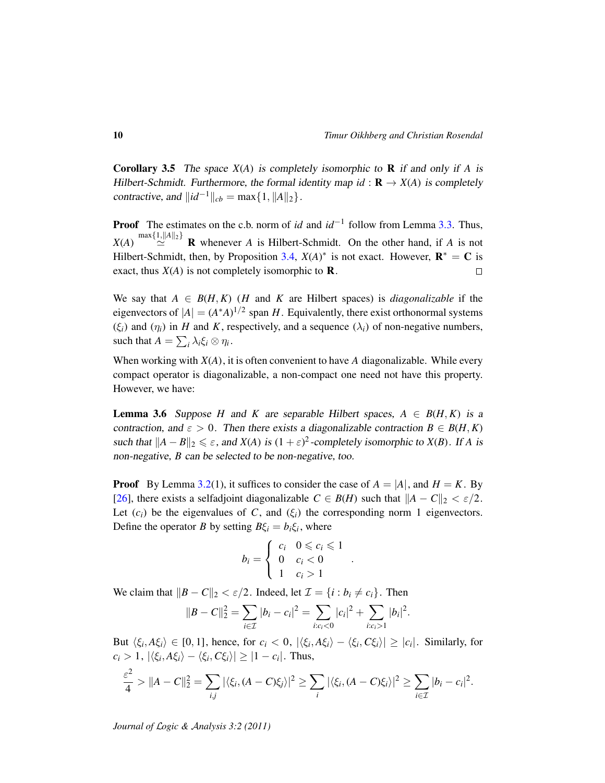<span id="page-9-1"></span>Corollary 3.5 The space *X*(*A*) is completely isomorphic to R if and only if *A* is Hilbert-Schmidt. Furthermore, the formal identity map  $id : \mathbf{R} \to X(A)$  is completely contractive, and  $\|id^{-1}\|_{cb} = \max\{1, \|A\|_2\}.$ 

**Proof** The estimates on the c.b. norm of *id* and *id*<sup>−1</sup> follow from Lemma [3.3.](#page-8-0) Thus,  $X(A) \stackrel{\text{max}\{1, \|A\|_2\}}{\simeq} \mathbf{R}$  whenever *A* is Hilbert-Schmidt. On the other hand, if *A* is not Hilbert-Schmidt, then, by Proposition [3.4,](#page-8-1)  $X(A)^*$  is not exact. However,  $\mathbf{R}^* = \mathbf{C}$  is exact, thus  $X(A)$  is not completely isomorphic to **R**.  $\Box$ 

We say that  $A \in B(H, K)$  (*H* and *K* are Hilbert spaces) is *diagonalizable* if the eigenvectors of  $|A| = (A^*A)^{1/2}$  span *H*. Equivalently, there exist orthonormal systems  $(\xi_i)$  and  $(\eta_i)$  in *H* and *K*, respectively, and a sequence  $(\lambda_i)$  of non-negative numbers, such that  $A = \sum_i \lambda_i \xi_i \otimes \eta_i$ .

When working with  $X(A)$ , it is often convenient to have A diagonalizable. While every compact operator is diagonalizable, a non-compact one need not have this property. However, we have:

<span id="page-9-0"></span>**Lemma 3.6** Suppose *H* and *K* are separable Hilbert spaces,  $A \in B(H, K)$  is a contraction, and  $\varepsilon > 0$ . Then there exists a diagonalizable contraction  $B \in B(H, K)$ such that  $||A - B||_2 \le \varepsilon$ , and *X*(*A*) is  $(1 + \varepsilon)^2$ -completely isomorphic to *X*(*B*). If *A* is non-negative, *B* can be selected to be non-negative, too.

**Proof** By Lemma [3.2\(](#page-6-1)1), it suffices to consider the case of  $A = |A|$ , and  $H = K$ . By [\[26\]](#page-30-7), there exists a selfadjoint diagonalizable  $C \in B(H)$  such that  $||A - C||_2 < \varepsilon/2$ . Let  $(c_i)$  be the eigenvalues of *C*, and  $(\xi_i)$  the corresponding norm 1 eigenvectors. Define the operator *B* by setting  $B\xi_i = b_i \xi_i$ , where

$$
b_i = \begin{cases} c_i & 0 \leq c_i \leq 1 \\ 0 & c_i < 0 \\ 1 & c_i > 1 \end{cases}
$$

.

We claim that  $\|B - C\|_2 < \varepsilon/2$ . Indeed, let  $\mathcal{I} = \{i : b_i \neq c_i\}$ . Then

$$
||B - C||_2^2 = \sum_{i \in \mathcal{I}} |b_i - c_i|^2 = \sum_{i:c_i < 0} |c_i|^2 + \sum_{i:c_i > 1} |b_i|^2.
$$

But  $\langle \xi_i, A\xi_i \rangle \in [0, 1]$ , hence, for  $c_i < 0$ ,  $|\langle \xi_i, A\xi_i \rangle - \langle \xi_i, C\xi_i \rangle| \ge |c_i|$ . Similarly, for  $c_i > 1$ ,  $|\langle \xi_i, A\xi_i \rangle - \langle \xi_i, C\xi_i \rangle| \geq |1 - c_i|$ . Thus,

$$
\frac{\varepsilon^2}{4} > ||A-C||_2^2 = \sum_{i,j} |\langle \xi_i, (A-C)\xi_j \rangle|^2 \ge \sum_i |\langle \xi_i, (A-C)\xi_i \rangle|^2 \ge \sum_{i \in \mathcal{I}} |b_i - c_i|^2.
$$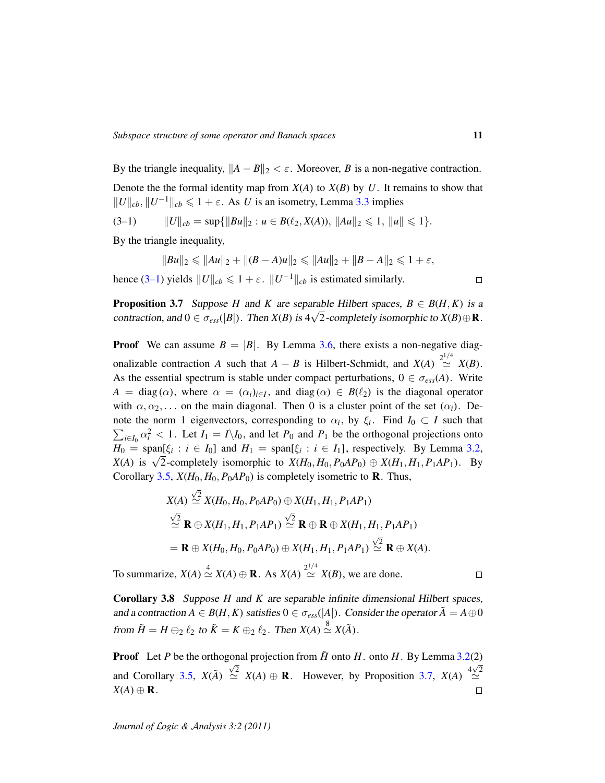By the triangle inequality,  $||A - B||_2 < \varepsilon$ . Moreover, *B* is a non-negative contraction. Denote the the formal identity map from  $X(A)$  to  $X(B)$  by  $U$ . It remains to show that  $||U||_{cb}, ||U^{-1}||_{cb} \le 1 + \varepsilon$ . As *U* is an isometry, Lemma [3.3](#page-8-0) implies

$$
(3-1) \t\t ||U||_{cb} = \sup\{\|Bu\|_2 : u \in B(\ell_2, X(A)), \|Au\|_2 \leq 1, \|u\| \leq 1\}.
$$

By the triangle inequality,

<span id="page-10-0"></span>
$$
||Bu||_2 \le ||Au||_2 + ||(B-A)u||_2 \le ||Au||_2 + ||B-A||_2 \le 1 + \varepsilon,
$$

hence [\(3–1\)](#page-10-0) yields  $||U||_{cb} \le 1 + \varepsilon$ .  $||U^{-1}||_{cb}$  is estimated similarly.

<span id="page-10-1"></span>**Proposition 3.7** Suppose *H* and *K* are separable Hilbert spaces,  $B \in B(H, K)$  is a contraction, and  $0 \in \sigma_{ess}(|B|)$ . Then  $X(B)$  is  $4\sqrt{2}$ -completely isomorphic to  $X(B) \oplus \mathbf{R}$ .

**Proof** We can assume  $B = |B|$ . By Lemma [3.6,](#page-9-0) there exists a non-negative diagonalizable contraction *A* such that  $A - B$  is Hilbert-Schmidt, and  $X(A) \stackrel{2^{1/4}}{\simeq}$  $\simeq$  *X*(*B*). As the essential spectrum is stable under compact perturbations,  $0 \in \sigma_{ess}(A)$ . Write  $A = \text{diag}(\alpha)$ , where  $\alpha = (\alpha_i)_{i \in I}$ , and diag  $(\alpha) \in B(\ell_2)$  is the diagonal operator with  $\alpha, \alpha_2, \ldots$  on the main diagonal. Then 0 is a cluster point of the set  $(\alpha_i)$ . Denote the norm 1 eigenvectors, corresponding to  $\alpha_i$ , by  $\xi_i$ . Find  $I_0 \subset I$  such that  $\sum_{i \in I_0} \alpha_i^2 < 1$ . Let  $I_1 = I \setminus I_0$ , and let  $P_0$  and  $P_1$  be the orthogonal projections onto  $H_0 = \text{span}[\xi_i : i \in I_0]$  and  $H_1 = \text{span}[\xi_i : i \in I_1]$ , respectively. By Lemma [3.2,](#page-6-1)  $X(A)$  is  $\sqrt{2}$ -completely isomorphic to  $X(H_0, H_0, P_0AP_0) \oplus X(H_1, H_1, P_1AP_1)$ . By Corollary [3.5,](#page-9-1)  $X(H_0, H_0, P_0AP_0)$  is completely isometric to **R**. Thus,

$$
X(A) \stackrel{\sqrt{2}}{\simeq} X(H_0, H_0, P_0AP_0) \oplus X(H_1, H_1, P_1AP_1)
$$
  
\n
$$
\stackrel{\sqrt{2}}{\simeq} \mathbf{R} \oplus X(H_1, H_1, P_1AP_1) \stackrel{\sqrt{2}}{\simeq} \mathbf{R} \oplus \mathbf{R} \oplus X(H_1, H_1, P_1AP_1)
$$
  
\n
$$
= \mathbf{R} \oplus X(H_0, H_0, P_0AP_0) \oplus X(H_1, H_1, P_1AP_1) \stackrel{\sqrt{2}}{\simeq} \mathbf{R} \oplus X(A).
$$

To summarize,  $X(A) \stackrel{4}{\simeq} X(A) \oplus \mathbf{R}$ . As  $X(A) \stackrel{2^{1/4}}{\simeq}$  $\simeq$  *X(B)*, we are done.

<span id="page-10-2"></span>Corollary 3.8 Suppose *H* and *K* are separable infinite dimensional Hilbert spaces, and a contraction  $A \in B(H, K)$  satisfies  $0 \in \sigma_{ess}(|A|)$ . Consider the operator  $\tilde{A} = A \oplus 0$ from  $\tilde{H} = H \oplus_2 \ell_2$  to  $\tilde{K} = K \oplus_2 \ell_2$ . Then  $X(A) \stackrel{8}{\simeq} X(\tilde{A})$ .

**Proof** Let *P* be the orthogonal projection from  $\tilde{H}$  onto *H*. onto *H*. By Lemma [3.2\(](#page-6-1)2) and Corollary [3.5,](#page-9-1)  $X(\tilde{A}) \stackrel{\sqrt{2}}{\simeq} X(A) \oplus \mathbf{R}$ . However, by Proposition [3.7,](#page-10-1)  $X(A) \stackrel{4\sqrt{2}}{\simeq}$  $X(A) \oplus \mathbf{R}$ .  $\Box$ 

 $\Box$ 

 $\Box$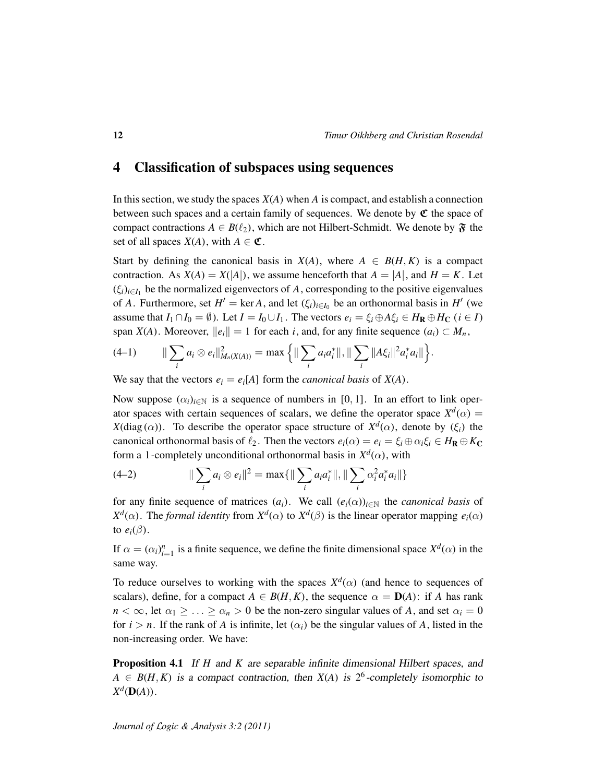### <span id="page-11-0"></span>4 Classification of subspaces using sequences

In this section, we study the spaces *X*(*A*) when *A* is compact, and establish a connection between such spaces and a certain family of sequences. We denote by  $\mathfrak{C}$  the space of compact contractions  $A \in B(\ell_2)$ , which are not Hilbert-Schmidt. We denote by  $\mathfrak{F}$  the set of all spaces  $X(A)$ , with  $A \in \mathfrak{C}$ .

Start by defining the canonical basis in  $X(A)$ , where  $A \in B(H, K)$  is a compact contraction. As  $X(A) = X(|A|)$ , we assume henceforth that  $A = |A|$ , and  $H = K$ . Let  $(\xi_i)_{i \in I_1}$  be the normalized eigenvectors of *A*, corresponding to the positive eigenvalues of *A*. Furthermore, set  $H' = \text{ker } A$ , and let  $(\xi_i)_{i \in I_0}$  be an orthonormal basis in  $H'$  (we assume that  $I_1 \cap I_0 = \emptyset$ ). Let  $I = I_0 \cup I_1$ . The vectors  $e_i = \xi_i \oplus A \xi_i \in H_{\mathbb{R}} \oplus H_{\mathbb{C}}$  ( $i \in I$ ) span *X*(*A*). Moreover,  $||e_i|| = 1$  for each *i*, and, for any finite sequence  $(a_i) \subset M_n$ ,

<span id="page-11-1"></span>
$$
(4-1) \qquad \|\sum_i a_i \otimes e_i\|_{M_n(X(A))}^2 = \max\Big\{\|\sum_i a_i a_i^*\|, \|\sum_i \|A\xi_i\|^2 a_i^* a_i\|\Big\}.
$$

We say that the vectors  $e_i = e_i[A]$  form the *canonical basis* of  $X(A)$ .

Now suppose  $(\alpha_i)_{i \in \mathbb{N}}$  is a sequence of numbers in [0, 1]. In an effort to link operator spaces with certain sequences of scalars, we define the operator space  $X^d(\alpha) =$ *X*(diag( $\alpha$ )). To describe the operator space structure of  $X^d(\alpha)$ , denote by ( $\xi$ <sub>i</sub>) the canonical orthonormal basis of  $\ell_2$ . Then the vectors  $e_i(\alpha) = e_i = \xi_i \oplus \alpha_i \xi_i \in H_{\mathbb{R}} \oplus K_{\mathbb{C}}$ form a 1-completely unconditional orthonormal basis in  $X^d(\alpha)$ , with

<span id="page-11-2"></span>(4-2) 
$$
\|\sum_i a_i \otimes e_i\|^2 = \max\{\|\sum_i a_i a_i^*\|, \|\sum_i \alpha_i^2 a_i^* a_i\|\}
$$

for any finite sequence of matrices  $(a_i)$ . We call  $(e_i(\alpha))_{i \in \mathbb{N}}$  the *canonical basis* of  $X^d(\alpha)$ . The *formal identity* from  $X^d(\alpha)$  to  $X^d(\beta)$  is the linear operator mapping  $e_i(\alpha)$ to  $e_i(\beta)$ .

If  $\alpha = (\alpha_i)_{i=1}^n$  is a finite sequence, we define the finite dimensional space  $X^d(\alpha)$  in the same way.

To reduce ourselves to working with the spaces  $X<sup>d</sup>(\alpha)$  (and hence to sequences of scalars), define, for a compact  $A \in B(H, K)$ , the sequence  $\alpha = D(A)$ : if *A* has rank  $n < \infty$ , let  $\alpha_1 \geq \ldots \geq \alpha_n > 0$  be the non-zero singular values of *A*, and set  $\alpha_i = 0$ for  $i > n$ . If the rank of *A* is infinite, let  $(\alpha_i)$  be the singular values of *A*, listed in the non-increasing order. We have:

<span id="page-11-3"></span>Proposition 4.1 If *H* and *K* are separable infinite dimensional Hilbert spaces, and  $A \in B(H, K)$  is a compact contraction, then  $X(A)$  is  $2^6$ -completely isomorphic to  $X^d(\mathbf{D}(A))$ .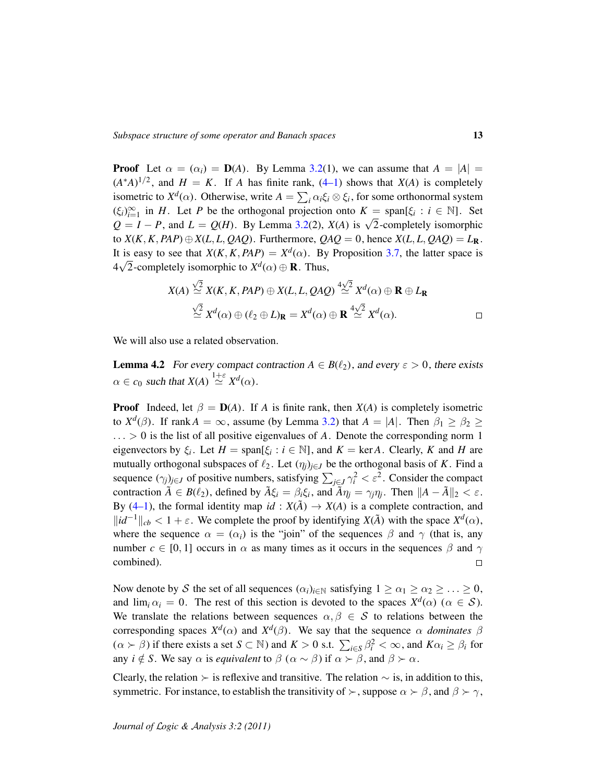**Proof** Let  $\alpha = (\alpha_i) = \mathbf{D}(A)$ . By Lemma [3.2\(](#page-6-1)1), we can assume that  $A = |A|$  $(A^*A)^{1/2}$ , and  $H = K$ . If *A* has finite rank,  $(4-1)$  shows that  $X(A)$  is completely isometric to  $X^d(\alpha)$ . Otherwise, write  $A = \sum_i \alpha_i \xi_i \otimes \xi_i$ , for some orthonormal system  $(\xi_i)_{i=1}^{\infty}$  in *H*. Let *P* be the orthogonal projection onto  $K = \text{span}[\xi_i : i \in \mathbb{N}]$ . Set  $Q = I - P$ , and  $L = Q(H)$ . By Lemma [3.2\(](#page-6-1)2), *X*(*A*) is  $\sqrt{2}$ -completely isomorphic to  $X(K, K, PAP) \oplus X(L, L, QAQ)$ . Furthermore,  $QAQ = 0$ , hence  $X(L, L, QAQ) = L_R$ . It is easy to see that  $X(K, K, PAP) = X^d(\alpha)$ . By Proposition [3.7,](#page-10-1) the latter space is  $4\sqrt{2}$ -completely isomorphic to  $X^d(\alpha) \oplus \mathbf{R}$ . Thus,

$$
X(A) \stackrel{\sqrt{2}}{\simeq} X(K, K, PAP) \oplus X(L, L, QAQ) \stackrel{4\sqrt{2}}{\simeq} X^d(\alpha) \oplus \mathbf{R} \oplus L_{\mathbf{R}}
$$
  

$$
\stackrel{\sqrt{2}}{\simeq} X^d(\alpha) \oplus (\ell_2 \oplus L)_{\mathbf{R}} = X^d(\alpha) \oplus \mathbf{R} \stackrel{4\sqrt{2}}{\simeq} X^d(\alpha).
$$

We will also use a related observation.

<span id="page-12-0"></span>**Lemma 4.2** For every compact contraction  $A \in B(\ell_2)$ , and every  $\varepsilon > 0$ , there exists  $\alpha \in c_0$  such that  $X(A) \stackrel{1+\varepsilon}{\simeq} X^d(\alpha)$ .

**Proof** Indeed, let  $\beta = D(A)$ . If *A* is finite rank, then *X(A)* is completely isometric to  $X^d(\beta)$ . If rank  $A = \infty$ , assume (by Lemma [3.2\)](#page-6-1) that  $A = |A|$ . Then  $\beta_1 \ge \beta_2 \ge$  $\ldots > 0$  is the list of all positive eigenvalues of A. Denote the corresponding norm 1 eigenvectors by  $\xi_i$ . Let  $H = \text{span}[\xi_i : i \in \mathbb{N}]$ , and  $K = \text{ker }A$ . Clearly, K and H are mutually orthogonal subspaces of  $\ell_2$ . Let  $(\eta_i)_{i \in J}$  be the orthogonal basis of *K*. Find a sequence  $(\gamma_j)_{j \in J}$  of positive numbers, satisfying  $\sum_{j \in J} \gamma_i^2 < \varepsilon^2$ . Consider the compact contraction  $\tilde{A} \in B(\ell_2)$ , defined by  $\tilde{A}\xi_i = \beta_i \xi_i$ , and  $\tilde{A}\eta_j = \gamma_j \eta_j$ . Then  $||A - \tilde{A}||_2 < \varepsilon$ . By [\(4–1\)](#page-11-1), the formal identity map  $id : X(\tilde{A}) \to X(A)$  is a complete contraction, and  $\Vert id^{-1} \Vert_{cb}$  < 1 +  $\varepsilon$ . We complete the proof by identifying *X*(*A*̂) with the space *X<sup>d</sup>*( $\alpha$ ), where the sequence  $\alpha = (\alpha_i)$  is the "join" of the sequences  $\beta$  and  $\gamma$  (that is, any number  $c \in [0, 1]$  occurs in  $\alpha$  as many times as it occurs in the sequences  $\beta$  and  $\gamma$ combined).  $\Box$ 

Now denote by S the set of all sequences  $(\alpha_i)_{i \in \mathbb{N}}$  satisfying  $1 \ge \alpha_1 \ge \alpha_2 \ge \ldots \ge 0$ , and  $\lim_i \alpha_i = 0$ . The rest of this section is devoted to the spaces  $X^d(\alpha)$  ( $\alpha \in S$ ). We translate the relations between sequences  $\alpha, \beta \in S$  to relations between the corresponding spaces  $X^d(\alpha)$  and  $X^d(\beta)$ . We say that the sequence  $\alpha$  *dominates*  $\beta$  $(\alpha \succ \beta)$  if there exists a set  $S \subset \mathbb{N}$ ) and  $K > 0$  s.t.  $\sum_{i \in S} \beta_i^2 < \infty$ , and  $K\alpha_i \ge \beta_i$  for any *i*  $\notin$  *S*. We say  $\alpha$  is *equivalent* to  $\beta$  ( $\alpha \sim \beta$ ) if  $\alpha \succ \beta$ , and  $\beta \succ \alpha$ .

Clearly, the relation  $\succ$  is reflexive and transitive. The relation  $\sim$  is, in addition to this, symmetric. For instance, to establish the transitivity of  $\succ$ , suppose  $\alpha \succ \beta$ , and  $\beta \succ \gamma$ ,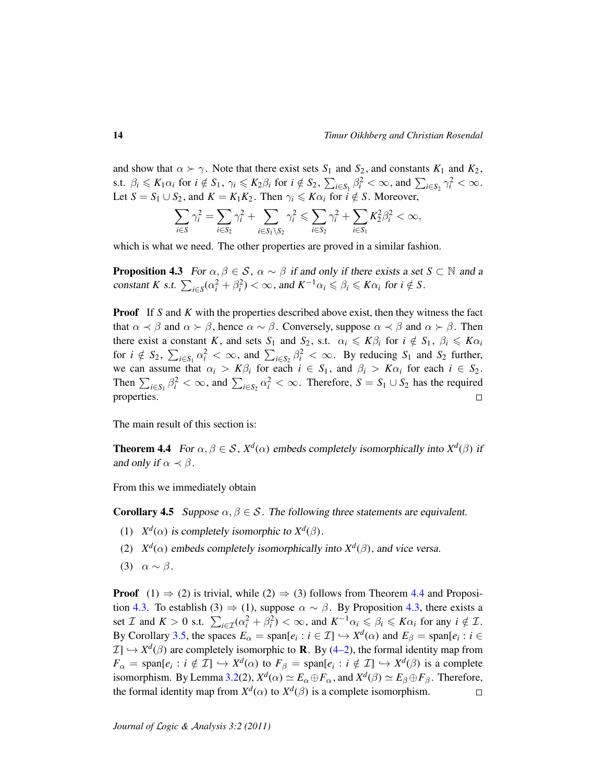and show that  $\alpha \succ \gamma$ . Note that there exist sets  $S_1$  and  $S_2$ , and constants  $K_1$  and  $K_2$ , s.t.  $\beta_i \leq K_1 \alpha_i$  for  $i \notin S_1$ ,  $\gamma_i \leq K_2 \beta_i$  for  $i \notin S_2$ ,  $\sum_{i \in S_1} \beta_i^2 < \infty$ , and  $\sum_{i \in S_2} \gamma_i^2 < \infty$ . Let  $S = S_1 \cup S_2$ , and  $K = K_1 K_2$ . Then  $\gamma_i \leq K \alpha_i$  for  $i \notin S$ . Moreover,

$$
\sum_{i\in S} \gamma_i^2 = \sum_{i\in S_2} \gamma_i^2 + \sum_{i\in S_1 \setminus S_2} \gamma_i^2 \leq \sum_{i\in S_2} \gamma_i^2 + \sum_{i\in S_1} K_2^2 \beta_i^2 < \infty,
$$

which is what we need. The other properties are proved in a similar fashion.

<span id="page-13-1"></span>**Proposition 4.3** For  $\alpha, \beta \in \mathcal{S}$ ,  $\alpha \sim \beta$  if and only if there exists a set  $S \subset \mathbb{N}$  and a constant *K* s.t.  $\sum_{i \in S} (\alpha_i^2 + \beta_i^2) < \infty$ , and  $K^{-1} \alpha_i \leq \beta_i \leq K \alpha_i$  for  $i \notin S$ .

**Proof** If *S* and *K* with the properties described above exist, then they witness the fact that  $\alpha \prec \beta$  and  $\alpha \succ \beta$ , hence  $\alpha \sim \beta$ . Conversely, suppose  $\alpha \prec \beta$  and  $\alpha \succ \beta$ . Then there exist a constant *K*, and sets  $S_1$  and  $S_2$ , s.t.  $\alpha_i \leq K\beta_i$  for  $i \notin S_1$ ,  $\beta_i \leq K\alpha_i$ for  $i \notin S_2$ ,  $\sum_{i \in S_1} \alpha_i^2 < \infty$ , and  $\sum_{i \in S_2} \beta_i^2 < \infty$ . By reducing  $S_1$  and  $S_2$  further, we can assume that  $\alpha_i > K\beta_i$  for each  $i \in S_1$ , and  $\beta_i > K\alpha_i$  for each  $i \in S_2$ . Then  $\sum_{i \in S_1} \beta_i^2 < \infty$ , and  $\sum_{i \in S_2} \alpha_i^2 < \infty$ . Therefore,  $S = S_1 \cup S_2$  has the required properties.  $\Box$ 

The main result of this section is:

<span id="page-13-0"></span>**Theorem 4.4** For  $\alpha, \beta \in S$ ,  $X^d(\alpha)$  embeds completely isomorphically into  $X^d(\beta)$  if and only if  $\alpha \prec \beta$ .

From this we immediately obtain

<span id="page-13-2"></span>**Corollary 4.5** Suppose  $\alpha, \beta \in \mathcal{S}$ . The following three statements are equivalent.

- (1)  $X^d(\alpha)$  is completely isomorphic to  $X^d(\beta)$ .
- (2)  $X^d(\alpha)$  embeds completely isomorphically into  $X^d(\beta)$ , and vice versa.
- (3)  $\alpha \sim \beta$ .

**Proof** (1)  $\Rightarrow$  (2) is trivial, while (2)  $\Rightarrow$  (3) follows from Theorem [4.4](#page-13-0) and Proposi-tion [4.3.](#page-13-1) To establish (3)  $\Rightarrow$  (1), suppose  $\alpha \sim \beta$ . By Proposition [4.3,](#page-13-1) there exists a set *I* and  $K > 0$  s.t.  $\sum_{i \in \mathcal{I}} (\alpha_i^2 + \beta_i^2) < \infty$ , and  $K^{-1} \alpha_i \leq \beta_i \leq K \alpha_i$  for any  $i \notin \mathcal{I}$ . By Corollary [3.5,](#page-9-1) the spaces  $E_{\alpha} = \text{span}[e_i : i \in \mathcal{I}] \hookrightarrow X^d(\alpha)$  and  $E_{\beta} = \text{span}[e_i : i \in \mathcal{I}]$  $\mathcal{I} \longrightarrow X^d(\beta)$  are completely isomorphic to **R**. By [\(4–2\)](#page-11-2), the formal identity map from  $F_{\alpha} = \text{span}[e_i : i \notin \mathcal{I}] \hookrightarrow X^d(\alpha)$  to  $F_{\beta} = \text{span}[e_i : i \notin \mathcal{I}] \hookrightarrow X^d(\beta)$  is a complete isomorphism. By Lemma [3.2\(](#page-6-1)2),  $X^d(\alpha) \simeq E_\alpha \oplus F_\alpha$ , and  $X^d(\beta) \simeq E_\beta \oplus F_\beta$ . Therefore, the formal identity map from  $X^d(\alpha)$  to  $X^d(\beta)$  is a complete isomorphism. □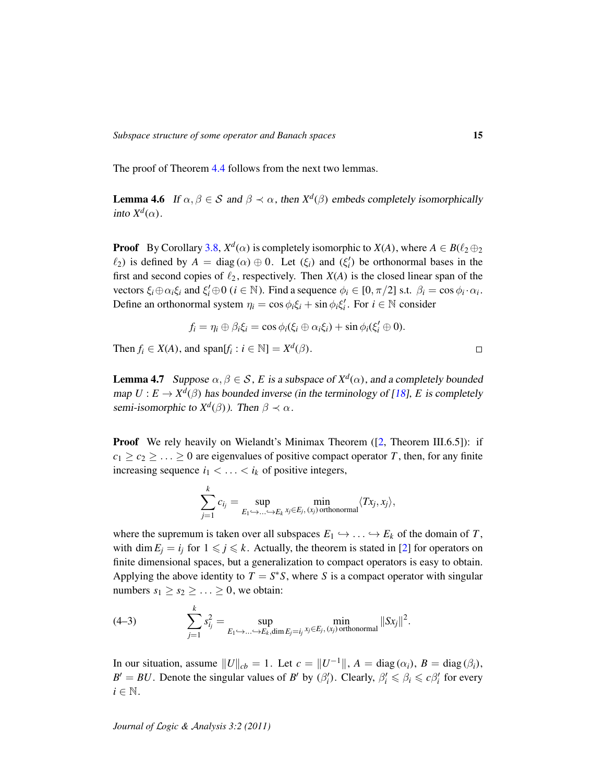The proof of Theorem [4.4](#page-13-0) follows from the next two lemmas.

<span id="page-14-2"></span>**Lemma 4.6** If  $\alpha, \beta \in S$  and  $\beta \prec \alpha$ , then  $X^d(\beta)$  embeds completely isomorphically into  $X^d(\alpha)$ .

**Proof** By Corollary [3.8,](#page-10-2)  $X^d(\alpha)$  is completely isomorphic to  $X(A)$ , where  $A \in B(\ell_2 \oplus_2 \ell_1)$  $\ell_2$ ) is defined by  $A = \text{diag}(\alpha) \oplus 0$ . Let  $(\xi_i)$  and  $(\xi'_i)$  be orthonormal bases in the first and second copies of  $\ell_2$ , respectively. Then  $X(A)$  is the closed linear span of the vectors  $\xi_i \oplus \alpha_i \xi_i$  and  $\xi'_i \oplus 0$  ( $i \in \mathbb{N}$ ). Find a sequence  $\phi_i \in [0, \pi/2]$  s.t.  $\beta_i = \cos \phi_i \cdot \alpha_i$ . Define an orthonormal system  $\eta_i = \cos \phi_i \xi_i + \sin \phi_i \xi'_i$ . For  $i \in \mathbb{N}$  consider

$$
f_i = \eta_i \oplus \beta_i \xi_i = \cos \phi_i(\xi_i \oplus \alpha_i \xi_i) + \sin \phi_i(\xi'_i \oplus 0).
$$

Then  $f_i \in X(A)$ , and span $[f_i : i \in \mathbb{N}] = X^d(\beta)$ .

*k*

<span id="page-14-1"></span>**Lemma 4.7** Suppose  $\alpha, \beta \in \mathcal{S}$ , *E* is a subspace of  $X^d(\alpha)$ , and a completely bounded map  $U: E \to X^d(\beta)$  has bounded inverse (in the terminology of [\[18\]](#page-29-11), *E* is completely semi-isomorphic to  $X^d(\beta)$ ). Then  $\beta \prec \alpha$ .

**Proof** We rely heavily on Wielandt's Minimax Theorem ([\[2,](#page-29-12) Theorem III.6.5]): if  $c_1 \geq c_2 \geq \ldots \geq 0$  are eigenvalues of positive compact operator *T*, then, for any finite increasing sequence  $i_1 < \ldots < i_k$  of positive integers,

$$
\sum_{j=1}^{\infty} c_{i_j} = \sup_{E_1 \hookrightarrow ... \hookrightarrow E_k} \min_{x_j \in E_j, (x_j) \text{ orthonormal}} \langle Tx_j, x_j \rangle,
$$

where the supremum is taken over all subspaces  $E_1 \hookrightarrow \ldots \hookrightarrow E_k$  of the domain of *T*, with dim  $E_i = i_j$  for  $1 \leq j \leq k$ . Actually, the theorem is stated in [\[2\]](#page-29-12) for operators on finite dimensional spaces, but a generalization to compact operators is easy to obtain. Applying the above identity to  $T = S^*S$ , where *S* is a compact operator with singular numbers  $s_1 \geq s_2 \geq \ldots \geq 0$ , we obtain:

<span id="page-14-0"></span>(4-3) 
$$
\sum_{j=1}^{k} s_{i_j}^2 = \sup_{E_1 \hookrightarrow ... \hookrightarrow E_k, \dim E_j = i_j} \min_{x_j \in E_j, (x_j) \text{ orthonormal}} ||Sx_j||^2.
$$

In our situation, assume  $||U||_{cb} = 1$ . Let  $c = ||U^{-1}||$ ,  $A = diag(\alpha_i)$ ,  $B = diag(\beta_i)$ ,  $B' = BU$ . Denote the singular values of *B*<sup>*i*</sup> by ( $\beta_i'$ ). Clearly,  $\beta_i' \leq \beta_i \leq c\beta_i'$  for every  $i \in \mathbb{N}$ .

*Journal of* L*ogic &* A*nalysis 3:2 (2011)*

 $\Box$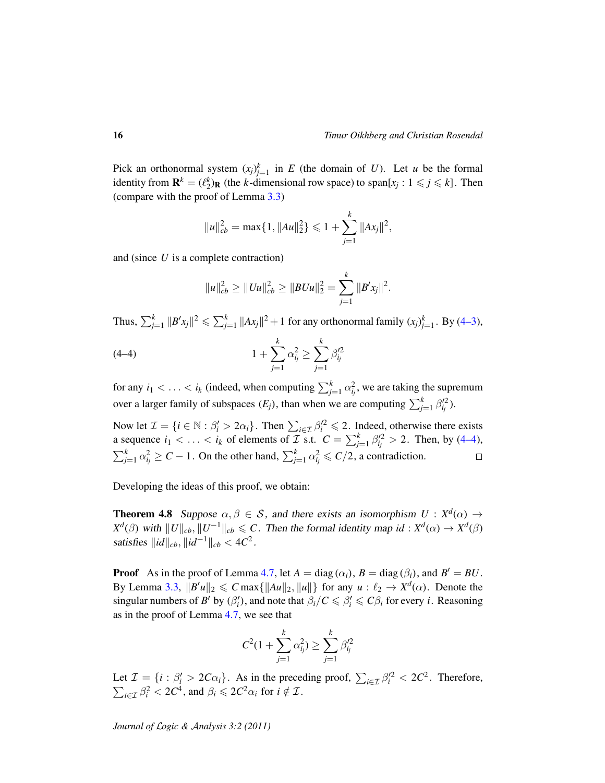Pick an orthonormal system  $(x_j)_{j=1}^k$  in *E* (the domain of *U*). Let *u* be the formal identity from  $\mathbf{R}^k = (\ell_2^k)_{\mathbf{R}}$  (the *k*-dimensional row space) to span[ $x_j : 1 \leq j \leq k$ ]. Then (compare with the proof of Lemma [3.3\)](#page-8-0)

$$
||u||_{cb}^2 = \max\{1, ||Au||_2^2\} \leq 1 + \sum_{j=1}^k ||Ax_j||^2,
$$

and (since *U* is a complete contraction)

<span id="page-15-0"></span>
$$
||u||_{cb}^2 \geq ||Uu||_{cb}^2 \geq ||BUu||_2^2 = \sum_{j=1}^k ||B'x_j||^2.
$$

Thus,  $\sum_{j=1}^k ||B'x_j||^2 \leqslant \sum_{j=1}^k ||Ax_j||^2 + 1$  for any orthonormal family  $(x_j)_{j=1}^k$ . By [\(4–3\)](#page-14-0),

(4-4) 
$$
1 + \sum_{j=1}^{k} \alpha_{i_j}^2 \ge \sum_{j=1}^{k} \beta_{i_j}^{\prime 2}
$$

for any  $i_1 < \ldots < i_k$  (indeed, when computing  $\sum_{j=1}^k \alpha_{i_j}^2$ , we are taking the supremum over a larger family of subspaces  $(E_j)$ , than when we are computing  $\sum_{j=1}^{k} \beta_{ij}^{2}$ .

Now let  $\mathcal{I} = \{i \in \mathbb{N} : \beta'_i > 2\alpha_i\}$ . Then  $\sum_{i \in \mathcal{I}} \beta'^2_i \leq 2$ . Indeed, otherwise there exists a sequence  $i_1 < \ldots < i_k$  of elements of  $\mathcal{I}$  s.t.  $C = \sum_{j=1}^k \beta_{ij}^2 > 2$ . Then, by [\(4–4\)](#page-15-0),  $\sum_{j=1}^{k} \alpha_{i_j}^2 \ge C - 1$ . On the other hand,  $\sum_{j=1}^{k} \alpha_{i_j}^2 \le C/2$ , a contradiction.  $\Box$ 

Developing the ideas of this proof, we obtain:

<span id="page-15-1"></span>**Theorem 4.8** Suppose  $\alpha, \beta \in S$ , and there exists an isomorphism  $U : X^d(\alpha) \to Y^d(\alpha)$ *X*<sup>*d*</sup>( $\beta$ ) with  $||U||_{cb}, ||U^{-1}||_{cb} \leq C$ . Then the formal identity map *id* : *X<sup>d</sup>*( $\alpha$ )  $\rightarrow$  *X<sup>d</sup>*( $\beta$ ) satisfies  $\|id\|_{cb}, \|id^{-1}\|_{cb} < 4C^2$ .

**Proof** As in the proof of Lemma [4.7,](#page-14-1) let  $A = \text{diag}(\alpha_i)$ ,  $B = \text{diag}(\beta_i)$ , and  $B' = BU$ . By Lemma [3.3,](#page-8-0)  $||B'u||_2 \leq C \max\{||Au||_2, ||u||\}$  for any  $u : \ell_2 \to X^d(\alpha)$ . Denote the singular numbers of *B*<sup> $\prime$ </sup> by  $(\beta_i')$ , and note that  $\beta_i/C \leq \beta_i' \leq C\beta_i$  for every *i*. Reasoning as in the proof of Lemma [4.7,](#page-14-1) we see that

$$
C^2(1+\sum_{j=1}^k \alpha_{ij}^2) \ge \sum_{j=1}^k \beta_{ij}^{\prime 2}
$$

Let  $\mathcal{I} = \{i : \beta'_i > 2C\alpha_i\}$ . As in the preceding proof,  $\sum_{i \in \mathcal{I}} \beta_i'^2 < 2C^2$ . Therefore,  $\sum_{i \in \mathcal{I}} \beta_i^2 < 2C^4$ , and  $\beta_i \leq 2C^2 \alpha_i$  for  $i \notin \mathcal{I}$ .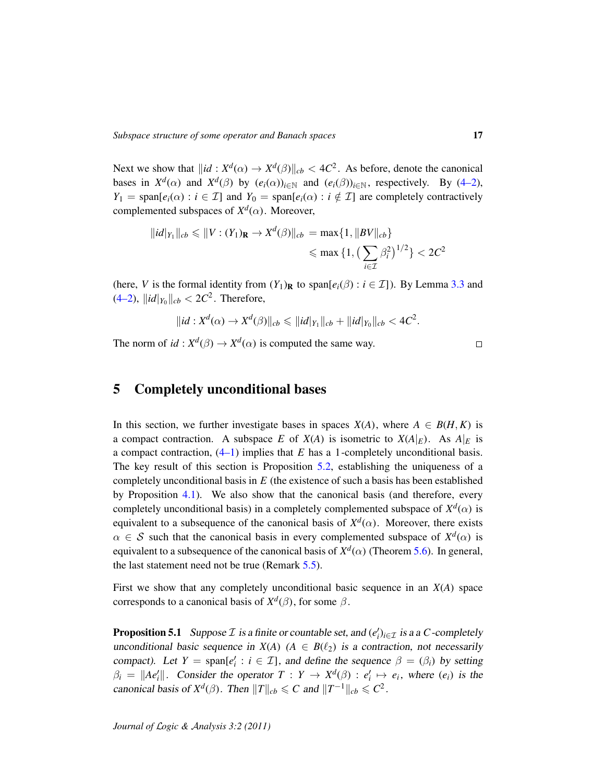Next we show that  $\|id : X^d(\alpha) \to X^d(\beta)\|_{cb} < 4C^2$ . As before, denote the canonical bases in  $X^d(\alpha)$  and  $X^d(\beta)$  by  $(e_i(\alpha))_{i \in \mathbb{N}}$  and  $(e_i(\beta))_{i \in \mathbb{N}}$ , respectively. By [\(4–2\)](#page-11-2), *Y*<sub>1</sub> = span $[e_i(\alpha): i \in \mathcal{I}]$  and *Y*<sub>0</sub> = span $[e_i(\alpha): i \notin \mathcal{I}]$  are completely contractively complemented subspaces of  $X^d(\alpha)$ . Moreover,

$$
||id|_{Y_1}||_{cb} \leq ||V : (Y_1)_{\mathbf{R}} \to X^d(\beta)||_{cb} = \max\{1, ||BV||_{cb}\}\
$$

$$
\leq \max\{1, \left(\sum_{i \in \mathcal{I}} \beta_i^2\right)^{1/2}\} < 2C^2
$$

(here, *V* is the formal identity from  $(Y_1)_R$  to span $[e_i(\beta) : i \in \mathcal{I}]$ ). By Lemma [3.3](#page-8-0) and  $(4-2)$ ,  $||id|_{Y_0}||_{cb} < 2C^2$ . Therefore,

$$
||id : X^d(\alpha) \to X^d(\beta)||_{cb} \leq ||id|_{Y_1}||_{cb} + ||id|_{Y_0}||_{cb} < 4C^2.
$$

The norm of  $id : X^d(\beta) \to X^d(\alpha)$  is computed the same way.

$$
\Box
$$

# <span id="page-16-0"></span>5 Completely unconditional bases

In this section, we further investigate bases in spaces  $X(A)$ , where  $A \in B(H, K)$  is a compact contraction. A subspace *E* of  $X(A)$  is isometric to  $X(A|_E)$ . As  $A|_E$  is a compact contraction, [\(4–1\)](#page-11-1) implies that *E* has a 1-completely unconditional basis. The key result of this section is Proposition [5.2,](#page-18-0) establishing the uniqueness of a completely unconditional basis in *E* (the existence of such a basis has been established by Proposition [4.1\)](#page-11-3). We also show that the canonical basis (and therefore, every completely unconditional basis) in a completely complemented subspace of  $X^d(\alpha)$  is equivalent to a subsequence of the canonical basis of  $X^d$ ( $\alpha$ ). Moreover, there exists  $\alpha \in S$  such that the canonical basis in every complemented subspace of  $X^d(\alpha)$  is equivalent to a subsequence of the canonical basis of  $X^d$ ( $\alpha$ ) (Theorem [5.6\)](#page-20-0). In general, the last statement need not be true (Remark [5.5\)](#page-19-0).

First we show that any completely unconditional basic sequence in an *X*(*A*) space corresponds to a canonical basis of  $X^d(\beta)$ , for some  $\beta$ .

<span id="page-16-1"></span>**Proposition 5.1** Suppose  $\mathcal I$  is a finite or countable set, and  $(e_i')_{i \in \mathcal I}$  is a a *C*-completely unconditional basic sequence in  $X(A)$  ( $A \in B(\ell_2)$  is a contraction, not necessarily compact). Let  $Y = \text{span}[e'_i : i \in \mathcal{I}]$ , and define the sequence  $\beta = (\beta_i)$  by setting  $\beta_i = ||Ae'_i||$ . Consider the operator  $T : Y \to X^d(\beta) : e'_i \mapsto e_i$ , where  $(e_i)$  is the canonical basis of  $X^d(\beta)$ . Then  $||T||_{cb} \leq C$  and  $||T^{-1}||_{cb} \leq C^2$ .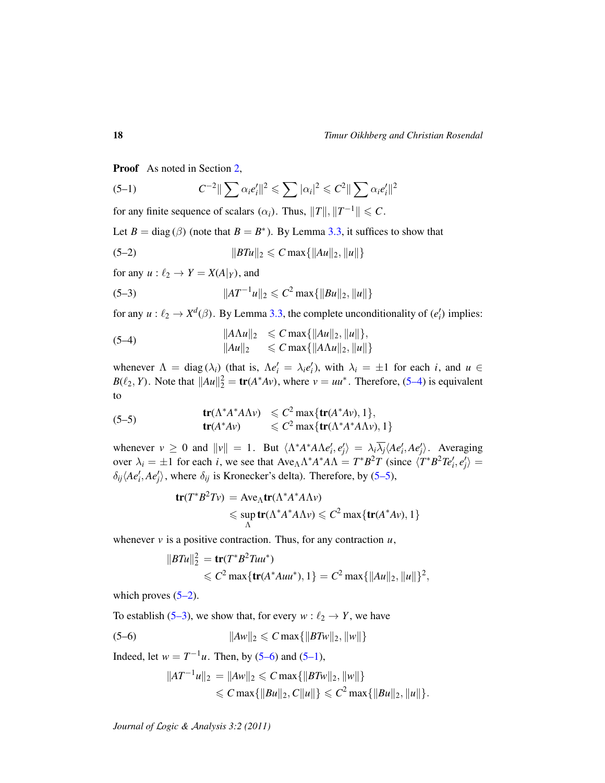Proof As noted in Section [2,](#page-3-0)

<span id="page-17-5"></span>(5-1) 
$$
C^{-2} \|\sum \alpha_i e_i'\|^2 \leqslant \sum |\alpha_i|^2 \leqslant C^2 \|\sum \alpha_i e_i'\|^2
$$

for any finite sequence of scalars  $(\alpha_i)$ . Thus,  $||T||$ ,  $||T^{-1}|| \leq C$ .

Let  $B = \text{diag}(\beta)$  (note that  $B = B^*$ ). By Lemma [3.3,](#page-8-0) it suffices to show that

<span id="page-17-2"></span>(5-2) 
$$
||BTu||_2 \leq C \max\{||Au||_2, ||u||\}
$$

for any  $u : \ell_2 \to Y = X(A|_Y)$ , and

<span id="page-17-3"></span>(5-3) 
$$
||AT^{-1}u||_2 \leq C^2 \max\{||Bu||_2, ||u||\}
$$

for any  $u: \ell_2 \to X^d(\beta)$ . By Lemma [3.3,](#page-8-0) the complete unconditionality of  $(e'_i)$  implies:

<span id="page-17-0"></span>(5-4)  
\n
$$
||A\Lambda u||_2 \leq C \max\{||Au||_2, ||u||\},
$$
\n
$$
||Au||_2 \leq C \max\{||A\Lambda u||_2, ||u||\}
$$

whenever  $\Lambda = \text{diag}(\lambda_i)$  (that is,  $\Lambda e'_i = \lambda_i e'_i$ ), with  $\lambda_i = \pm 1$  for each *i*, and  $u \in$  $B(\ell_2, Y)$ . Note that  $||Au||_2^2 = \text{tr}(A^*Av)$ , where  $v = uu^*$ . Therefore, [\(5–4\)](#page-17-0) is equivalent to

<span id="page-17-1"></span>(5-5) 
$$
\mathbf{tr}(\Lambda^* A^* A \Lambda \nu) \leq C^2 \max \{ \mathbf{tr}(A^* A \nu), 1 \}, \mathbf{tr}(A^* A \nu) \leq C^2 \max \{ \mathbf{tr}(\Lambda^* A^* A \Lambda \nu), 1 \}
$$

whenever  $v \ge 0$  and  $||v|| = 1$ . But  $\langle \Lambda^* A^* A \Lambda e_i', e_j' \rangle = \lambda_i \overline{\lambda_j} \langle A e_i', A e_j' \rangle$ . Averaging over  $\lambda_i = \pm 1$  for each *i*, we see that  $Ave_{\Lambda} \Lambda^* A^* A \Lambda = T^* B^2 T$  (since  $\langle T^* B^2 T e_i', e_j' \rangle =$  $\delta_{ij}\langle Ae'_i, Ae'_j\rangle$ , where  $\delta_{ij}$  is Kronecker's delta). Therefore, by [\(5–5\)](#page-17-1),

$$
\mathbf{tr}(T^*B^2Tv) = \text{Ave}_{\Lambda}\mathbf{tr}(\Lambda^*A^*A\Lambda v)
$$
  
\$\leqslant \text{sup}\_{\Lambda}\mathbf{tr}(\Lambda^\*A^\*A\Lambda v) \leqslant C^2 \max\{\text{tr}(A^\*Av), 1\}

whenever *v* is a positive contraction. Thus, for any contraction *u*,

$$
||BTu||_2^2 = \mathbf{tr}(T^*B^2Tuu^*)
$$
  
\$\leq C^2 \max{\mathbf{tr}(A^\*Auu^\*), 1} = C^2 \max{\|Au\|\_2, \|u\|\}^2\$,

which proves  $(5-2)$ .

To establish [\(5–3\)](#page-17-3), we show that, for every  $w : \ell_2 \to Y$ , we have

(5-6) 
$$
||Aw||_2 \leq C \max\{||BTw||_2, ||w||\}
$$

Indeed, let  $w = T^{-1}u$ . Then, by [\(5–6\)](#page-17-4) and [\(5–1\)](#page-17-5),

<span id="page-17-4"></span>
$$
||AT^{-1}u||_2 = ||Aw||_2 \leq C \max\{||BTw||_2, ||w||\}
$$
  
\$\leq C \max\{||Bu||\_2, C||u||\} \leq C^2 \max\{||Bu||\_2, ||u||\}.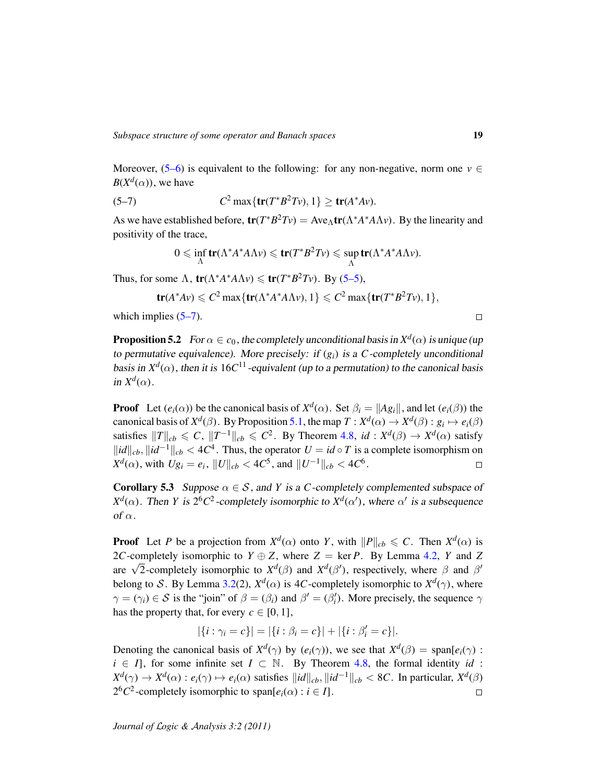Moreover,  $(5-6)$  is equivalent to the following: for any non-negative, norm one  $v \in$  $B(X^d(\alpha))$ , we have

(5-7) 
$$
C^2 \max\{tr(T^*B^2Tv), 1\} \ge tr(A^*Av).
$$

As we have established before,  $tr(T^*B^2Tv) = Ave_\Lambda tr(\Lambda^*A^*A\Lambda v)$ . By the linearity and positivity of the trace,

<span id="page-18-1"></span>
$$
0 \leqslant \inf_{\Lambda} \mathbf{tr}(\Lambda^* A^* A \Lambda \nu) \leqslant \mathbf{tr}(T^* B^2 T \nu) \leqslant \sup_{\Lambda} \mathbf{tr}(\Lambda^* A^* A \Lambda \nu).
$$

Thus, for some  $\Lambda$ ,  $tr(\Lambda^* A^* A \Lambda \nu) \leq tr(T^* B^2 T \nu)$ . By [\(5–5\)](#page-17-1),

$$
\mathbf{tr}(A^*Av) \leqslant C^2 \max\{\mathbf{tr}(\Lambda^*A^*A\Lambda v), 1\} \leqslant C^2 \max\{\mathbf{tr}(T^*B^2Tv), 1\},\
$$

which implies  $(5-7)$ .

<span id="page-18-0"></span>**Proposition 5.2** For  $\alpha \in c_0$ , the completely unconditional basis in  $X^d(\alpha)$  is unique (up to permutative equivalence). More precisely: if  $(g_i)$  is a *C*-completely unconditional basis in  $X^d(\alpha)$ , then it is 16C<sup>11</sup> -equivalent (up to a permutation) to the canonical basis in  $X^d(\alpha)$ .

**Proof** Let  $(e_i(\alpha))$  be the canonical basis of  $X^d(\alpha)$ . Set  $\beta_i = ||Ag_i||$ , and let  $(e_i(\beta))$  the canonical basis of  $X^d(\beta)$ . By Proposition [5.1,](#page-16-1) the map  $T: X^d(\alpha) \to X^d(\beta) : g_i \mapsto e_i(\beta)$ satisfies  $||T||_{cb} \leq C$ ,  $||T^{-1}||_{cb} \leq C^2$ . By Theorem [4.8,](#page-15-1) *id* :  $X^d(\beta) \to X^d(\alpha)$  satisfy  $\Vert id \Vert_{cb}$ ,  $\Vert id^{-1} \Vert_{cb}$  < 4 $C^4$ . Thus, the operator *U* = *id* ◦ *T* is a complete isomorphism on  $X^d(\alpha)$ , with  $Ug_i = e_i$ ,  $||U||_{cb} < 4C^5$ , and  $||U^{-1}||_{cb} < 4C^6$ .  $\Box$ 

**Corollary 5.3** Suppose  $\alpha \in S$ , and *Y* is a *C*-completely complemented subspace of *X<sup>d</sup>*( $\alpha$ ). Then *Y* is 2<sup>6</sup>*C*<sup>2</sup>-completely isomorphic to *X<sup>d</sup>*( $\alpha'$ ), where  $\alpha'$  is a subsequence of  $\alpha$ .

**Proof** Let *P* be a projection from  $X^d(\alpha)$  onto *Y*, with  $||P||_{cb} \leq C$ . Then  $X^d(\alpha)$  is 2*C*-completely isomorphic to  $Y \oplus Z$ , where  $Z = \text{ker } P$ . By Lemma [4.2,](#page-12-0) *Y* and *Z*  $2C$ -completely isomorphic to  $\overline{I} \oplus \overline{Z}$ , where  $\overline{Z} = \text{ker } I$ . By Lemma 4.2,  $\overline{I}$  and  $\overline{Z}$  are  $\sqrt{2}$ -completely isomorphic to  $X^d(\beta)$  and  $X^d(\beta')$ , respectively, where  $\beta$  and  $\beta'$ belong to S. By Lemma [3.2\(](#page-6-1)2),  $X^d(\alpha)$  is 4C-completely isomorphic to  $X^d(\gamma)$ , where  $\gamma = (\gamma_i) \in S$  is the "join" of  $\beta = (\beta_i)$  and  $\beta' = (\beta'_i)$ . More precisely, the sequence  $\gamma$ has the property that, for every  $c \in [0, 1]$ ,

$$
|\{i : \gamma_i = c\}| = |\{i : \beta_i = c\}| + |\{i : \beta'_i = c\}|.
$$

Denoting the canonical basis of  $X^d(\gamma)$  by  $(e_i(\gamma))$ , we see that  $X^d(\beta) = \text{span}[e_i(\gamma)$ :  $i \in I$ , for some infinite set  $I \subset \mathbb{N}$ . By Theorem [4.8,](#page-15-1) the formal identity *id* :  $X^d(\gamma) \to X^d(\alpha) : e_i(\gamma) \mapsto e_i(\alpha)$  satisfies  $\|id\|_{cb}, \|id^{-1}\|_{cb} < 8C$ . In particular,  $X^d(\beta)$  $2^6C^2$ -completely isomorphic to span $[e_i(\alpha) : i \in I]$ .  $\Box$ 

 $\Box$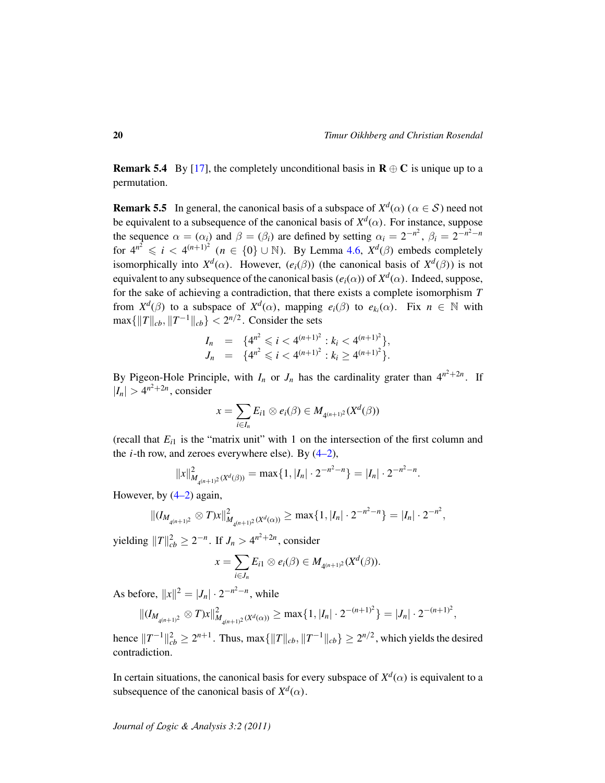**Remark 5.4** By [\[17\]](#page-29-13), the completely unconditional basis in  $\mathbf{R} \oplus \mathbf{C}$  is unique up to a permutation.

<span id="page-19-0"></span>**Remark 5.5** In general, the canonical basis of a subspace of  $X^d(\alpha)$  ( $\alpha \in S$ ) need not be equivalent to a subsequence of the canonical basis of  $X^d(\alpha)$ . For instance, suppose the sequence  $\alpha = (\alpha_i)$  and  $\beta = (\beta_i)$  are defined by setting  $\alpha_i = 2^{-n^2}$ ,  $\beta_i = 2^{-n^2 - n}$ for  $4^{n^2} \le i < 4^{(n+1)^2}$  ( $n \in \{0\} \cup \mathbb{N}$ ). By Lemma [4.6,](#page-14-2)  $X^d(\beta)$  embeds completely isomorphically into  $X^d(\alpha)$ . However,  $(e_i(\beta))$  (the canonical basis of  $X^d(\beta)$ ) is not equivalent to any subsequence of the canonical basis  $(e_i(\alpha))$  of  $X^d(\alpha)$ . Indeed, suppose, for the sake of achieving a contradiction, that there exists a complete isomorphism *T* from  $X^d(\beta)$  to a subspace of  $X^d(\alpha)$ , mapping  $e_i(\beta)$  to  $e_{k_i}(\alpha)$ . Fix  $n \in \mathbb{N}$  with  $\max\{\|T\|_{cb}, \|T^{-1}\|_{cb}\} < 2^{n/2}$ . Consider the sets

$$
I_n = \{4^{n^2} \le i < 4^{(n+1)^2} : k_i < 4^{(n+1)^2} \},
$$
\n
$$
J_n = \{4^{n^2} \le i < 4^{(n+1)^2} : k_i \ge 4^{(n+1)^2} \}.
$$

By Pigeon-Hole Principle, with  $I_n$  or  $J_n$  has the cardinality grater than  $4^{n^2+2n}$ . If  $|I_n| > 4^{n^2 + 2n}$ , consider

$$
x=\sum_{i\in I_n}E_{i1}\otimes e_i(\beta)\in M_{4^{(n+1)^2}}(X^d(\beta))
$$

(recall that  $E_{i1}$  is the "matrix unit" with 1 on the intersection of the first column and the *i*-th row, and zeroes everywhere else). By  $(4-2)$ ,

$$
||x||_{M_{4(n+1)^2}(X^d(\beta))}^2 = \max\{1, |I_n| \cdot 2^{-n^2-n}\} = |I_n| \cdot 2^{-n^2-n}.
$$

However, by  $(4-2)$  again,

$$
|| (I_{M_{4^{(n+1)}}^2} \otimes T) x ||^2_{M_{4^{(n+1)}}^2(X^d(\alpha))} \ge \max\{1, |I_n| \cdot 2^{-n^2-n}\} = |I_n| \cdot 2^{-n^2},
$$

yielding  $||T||_{cb}^2 \ge 2^{-n}$ . If  $J_n > 4^{n^2+2n}$ , consider

$$
x=\sum_{i\in J_n}E_{i1}\otimes e_i(\beta)\in M_{4^{(n+1)^2}}(X^d(\beta)).
$$

As before,  $||x||^2 = |J_n| \cdot 2^{-n^2 - n}$ , while

$$
|| (I_{M_{4^{(n+1)}}^2} \otimes T) x ||^2_{M_{4^{(n+1)}}^2(X^d(\alpha))} \ge \max\{1, |I_n| \cdot 2^{-(n+1)^2}\} = |J_n| \cdot 2^{-(n+1)^2},
$$

hence  $||T^{-1}||_{cb}^2 \ge 2^{n+1}$ . Thus, max $\{||T||_{cb}, ||T^{-1}||_{cb}\} \ge 2^{n/2}$ , which yields the desired contradiction.

In certain situations, the canonical basis for every subspace of  $X^d(\alpha)$  is equivalent to a subsequence of the canonical basis of  $X^d(\alpha)$ .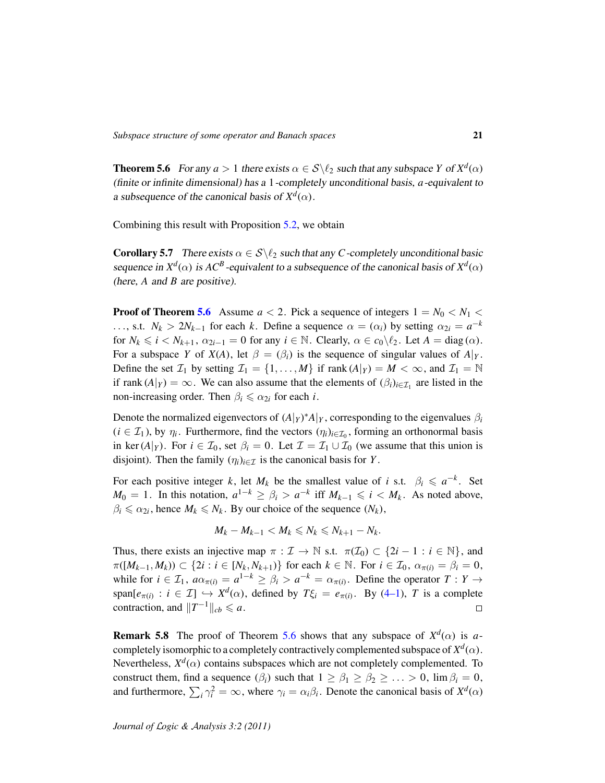<span id="page-20-0"></span>**Theorem 5.6** For any  $a > 1$  there exists  $\alpha \in S \setminus \ell_2$  such that any subspace *Y* of  $X^d(\alpha)$ (finite or infinite dimensional) has a 1-completely unconditional basis, *a*-equivalent to a subsequence of the canonical basis of  $X^d(\alpha)$ .

Combining this result with Proposition [5.2,](#page-18-0) we obtain

<span id="page-20-1"></span>**Corollary 5.7** There exists  $\alpha \in S \setminus \ell_2$  such that any *C*-completely unconditional basic sequence in  $X^d(\alpha)$  is  $AC^B$ -equivalent to a subsequence of the canonical basis of  $X^d(\alpha)$ (here, *A* and *B* are positive).

**Proof of Theorem [5.6](#page-20-0)** Assume  $a < 2$ . Pick a sequence of integers  $1 = N_0 < N_1 <$ ..., s.t.  $N_k > 2N_{k-1}$  for each *k*. Define a sequence  $\alpha = (\alpha_i)$  by setting  $\alpha_{2i} = a^{-k}$ for  $N_k \le i < N_{k+1}$ ,  $\alpha_{2i-1} = 0$  for any  $i \in \mathbb{N}$ . Clearly,  $\alpha \in c_0 \setminus \ell_2$ . Let  $A = \text{diag}(\alpha)$ . For a subspace *Y* of *X*(*A*), let  $\beta = (\beta_i)$  is the sequence of singular values of  $A|_Y$ . Define the set  $\mathcal{I}_1$  by setting  $\mathcal{I}_1 = \{1, \ldots, M\}$  if rank  $(A|_Y) = M < \infty$ , and  $\mathcal{I}_1 = \mathbb{N}$ if rank  $(A|_Y) = \infty$ . We can also assume that the elements of  $(\beta_i)_{i \in \mathcal{I}_1}$  are listed in the non-increasing order. Then  $\beta_i \leq \alpha_{2i}$  for each *i*.

Denote the normalized eigenvectors of  $(A|_Y)^*A|_Y$ , corresponding to the eigenvalues  $\beta_i$  $(i \in \mathcal{I}_1)$ , by  $\eta_i$ . Furthermore, find the vectors  $(\eta_i)_{i \in \mathcal{I}_0}$ , forming an orthonormal basis in ker  $(A|_Y)$ . For  $i \in \mathcal{I}_0$ , set  $\beta_i = 0$ . Let  $\mathcal{I} = \mathcal{I}_1 \cup \mathcal{I}_0$  (we assume that this union is disjoint). Then the family  $(\eta_i)_{i \in \mathcal{I}}$  is the canonical basis for *Y*.

For each positive integer *k*, let  $M_k$  be the smallest value of *i* s.t.  $\beta_i \leq a^{-k}$ . Set *M*<sup>0</sup> = 1. In this notation,  $a^{1-k}$  ≥  $\beta_i > a^{-k}$  iff  $M_{k-1}$  ≤  $i < M_k$ . As noted above,  $\beta_i \le \alpha_{2i}$ , hence  $M_k \le N_k$ . By our choice of the sequence  $(N_k)$ ,

$$
M_k - M_{k-1} < M_k \leq N_k \leq N_{k+1} - N_k.
$$

Thus, there exists an injective map  $\pi : \mathcal{I} \to \mathbb{N}$  s.t.  $\pi(\mathcal{I}_0) \subset \{2i - 1 : i \in \mathbb{N}\}\)$ , and  $\pi([M_{k-1}, M_k)) \subset \{2i : i \in [N_k, N_{k+1})\}$  for each  $k \in \mathbb{N}$ . For  $i \in \mathcal{I}_0$ ,  $\alpha_{\pi(i)} = \beta_i = 0$ , while for  $i \in \mathcal{I}_1$ ,  $a\alpha_{\pi(i)} = a^{1-k} \ge \beta_i > a^{-k} = \alpha_{\pi(i)}$ . Define the operator  $T: Y \to Y$ span $[e_{\pi(i)} : i \in \mathcal{I}] \hookrightarrow X^d(\alpha)$ , defined by  $T\xi_i = e_{\pi(i)}$ . By [\(4–1\)](#page-11-1), T is a complete contraction, and  $||T^{-1}||_{cb} \le a$ .  $\Box$ 

**Remark 5.8** The proof of Theorem [5.6](#page-20-0) shows that any subspace of  $X^d(\alpha)$  is acompletely isomorphic to a completely contractively complemented subspace of  $X^d(\alpha)$ . Nevertheless,  $X^d(\alpha)$  contains subspaces which are not completely complemented. To construct them, find a sequence  $(\beta_i)$  such that  $1 \geq \beta_1 \geq \beta_2 \geq \ldots > 0$ ,  $\lim \beta_i = 0$ , and furthermore,  $\sum_i \gamma_i^2 = \infty$ , where  $\gamma_i = \alpha_i \beta_i$ . Denote the canonical basis of  $X^d(\alpha)$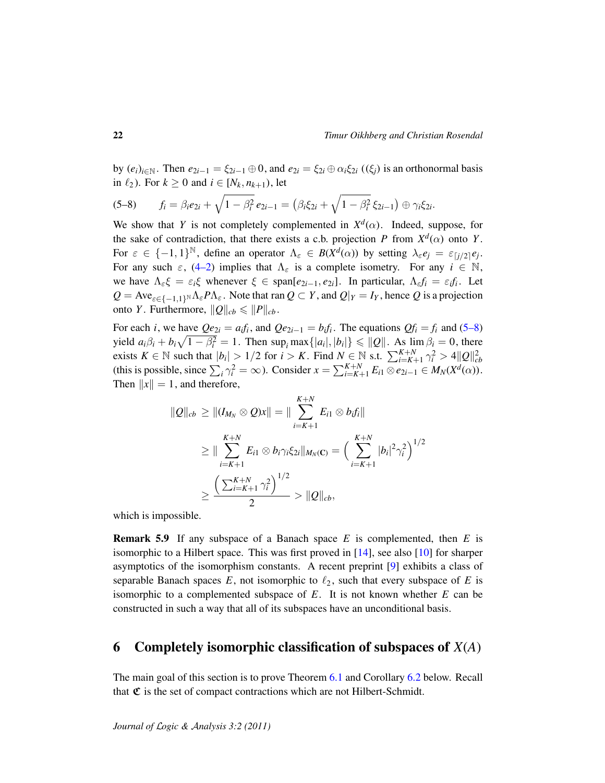by  $(e_i)_{i \in \mathbb{N}}$ . Then  $e_{2i-1} = \xi_{2i-1} \oplus 0$ , and  $e_{2i} = \xi_{2i} \oplus \alpha_i \xi_{2i}$  ( $(\xi_i)$ ) is an orthonormal basis in  $\ell_2$ ). For  $k \geq 0$  and  $i \in [N_k, n_{k+1})$ , let

<span id="page-21-1"></span>
$$
(5-8) \t f_i = \beta_i e_{2i} + \sqrt{1-\beta_i^2} e_{2i-1} = (\beta_i \xi_{2i} + \sqrt{1-\beta_i^2} \xi_{2i-1}) \oplus \gamma_i \xi_{2i}.
$$

We show that *Y* is not completely complemented in  $X^d(\alpha)$ . Indeed, suppose, for the sake of contradiction, that there exists a c.b. projection *P* from  $X^d(\alpha)$  onto *Y*. For  $\varepsilon \in \{-1,1\}^{\mathbb{N}}$ , define an operator  $\Lambda_{\varepsilon} \in B(X^d(\alpha))$  by setting  $\lambda_{\varepsilon}e_j = \varepsilon_{[j/2]}e_j$ . For any such  $\varepsilon$ , [\(4–2\)](#page-11-2) implies that  $\Lambda_{\varepsilon}$  is a complete isometry. For any  $i \in \mathbb{N}$ , we have  $\Lambda_{\varepsilon} \xi = \varepsilon_i \xi$  whenever  $\xi \in \text{span}[e_{2i-1}, e_{2i}]$ . In particular,  $\Lambda_{\varepsilon} f_i = \varepsilon_i f_i$ . Let  $Q = Ave_{\varepsilon \in \{-1,1\}^N} \Lambda_{\varepsilon} P \Lambda_{\varepsilon}$ . Note that ran  $Q \subset Y$ , and  $Q|_Y = I_Y$ , hence  $Q$  is a projection onto *Y*. Furthermore,  $||Q||_{cb} \le ||P||_{cb}$ .

For each *i*, we have  $Qe_{2i} = a_i f_i$ , and  $Qe_{2i-1} = b_i f_i$ . The equations  $Qf_i = f_i$  and [\(5–8\)](#page-21-1) yield  $a_i\beta_i + b_i\sqrt{1-\beta_i^2} = 1$ . Then sup<sub>*i*</sub> max $\{|a_i|, |b_i|\} \leq \|Q\|$ . As  $\lim_{n \to \infty} \beta_i = 0$ , there exists  $K \in \mathbb{N}$  such that  $|b_i| > 1/2$  for  $i > K$ . Find  $N \in \mathbb{N}$  s.t.  $\sum_{i=K+1}^{K+N} \gamma_i^2 > 4 ||Q||_{cb}^2$ (this is possible, since  $\sum_i \gamma_i^2 = \infty$ ). Consider  $x = \sum_{i=K+1}^{K+N} E_{i1} \otimes e_{2i-1} \in M_N(X^d(\alpha))$ . Then  $\|x\| = 1$ , and therefore,

$$
\|Q\|_{cb} \ge \| (I_{M_N} \otimes Q)x \| = \| \sum_{i=K+1}^{K+N} E_{i1} \otimes b_i f_i \|
$$
  
\n
$$
\ge \| \sum_{i=K+1}^{K+N} E_{i1} \otimes b_i \gamma_i \xi_{2i} \|_{M_N(\mathbf{C})} = \Big( \sum_{i=K+1}^{K+N} |b_i|^2 \gamma_i^2 \Big)^{1/2}
$$
  
\n
$$
\ge \frac{\Big( \sum_{i=K+1}^{K+N} \gamma_i^2 \Big)^{1/2}}{2} > \|Q\|_{cb},
$$

which is impossible.

Remark 5.9 If any subspace of a Banach space *E* is complemented, then *E* is isomorphic to a Hilbert space. This was first proved in  $[14]$ , see also  $[10]$  for sharper asymptotics of the isomorphism constants. A recent preprint [\[9\]](#page-29-16) exhibits a class of separable Banach spaces  $E$ , not isomorphic to  $\ell_2$ , such that every subspace of  $E$  is isomorphic to a complemented subspace of *E*. It is not known whether *E* can be constructed in such a way that all of its subspaces have an unconditional basis.

### <span id="page-21-0"></span>6 Completely isomorphic classification of subspaces of *X*(*A*)

The main goal of this section is to prove Theorem [6.1](#page-22-0) and Corollary [6.2](#page-22-1) below. Recall that  $\mathfrak C$  is the set of compact contractions which are not Hilbert-Schmidt.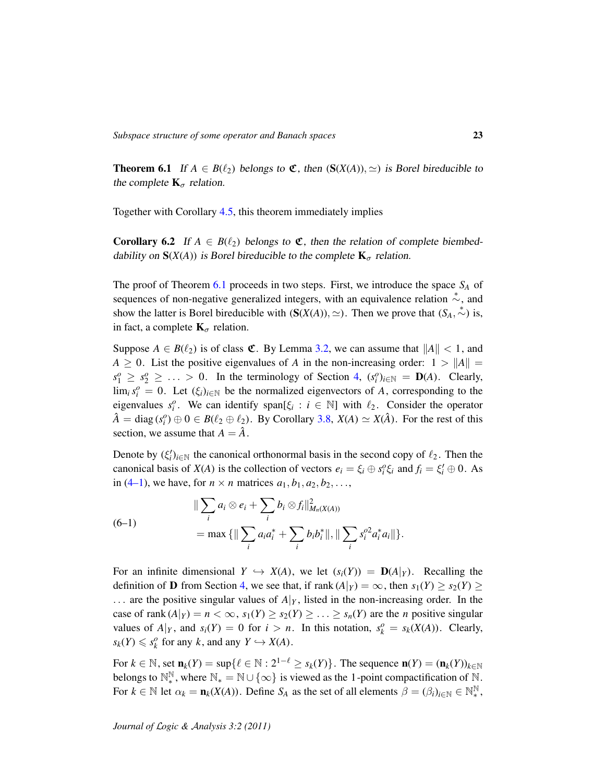<span id="page-22-0"></span>**Theorem 6.1** If  $A \in B(\ell_2)$  belongs to  $\mathfrak{C}$ , then  $(S(X(A)), \simeq)$  is Borel bireducible to the complete  $\mathbf{K}_{\sigma}$  relation.

Together with Corollary [4.5,](#page-13-2) this theorem immediately implies

<span id="page-22-1"></span>**Corollary 6.2** If  $A \in B(\ell_2)$  belongs to  $\mathfrak{C}$ , then the relation of complete biembeddability on  $S(X(A))$  is Borel bireducible to the complete  $K_{\sigma}$  relation.

The proof of Theorem [6.1](#page-22-0) proceeds in two steps. First, we introduce the space *S<sup>A</sup>* of sequences of non-negative generalized integers, with an equivalence relation  $\stackrel{*}{\sim}$ , and show the latter is Borel bireducible with  $(S(X(A)), \simeq)$ . Then we prove that  $(S_A, \stackrel{*}{\sim})$  is, in fact, a complete  $\mathbf{K}_{\sigma}$  relation.

Suppose  $A \in B(\ell_2)$  is of class  $\mathfrak{C}$ . By Lemma [3.2,](#page-6-1) we can assume that  $||A|| < 1$ , and  $A \geq 0$ . List the positive eigenvalues of *A* in the non-increasing order:  $1 > ||A|| =$  $s_1^o \geq s_2^o \geq \ldots > 0$ . In the terminology of Section [4,](#page-11-0)  $(s_i^o)_{i \in \mathbb{N}} = \mathbf{D}(A)$ . Clearly,  $\lim_i s_i^o = 0$ . Let  $(\xi_i)_{i \in \mathbb{N}}$  be the normalized eigenvectors of *A*, corresponding to the eigenvalues  $s_i^o$ . We can identify span[ $\xi_i : i \in \mathbb{N}$ ] with  $\ell_2$ . Consider the operator  $\hat{A} = \text{diag}(s_i^o) \oplus 0 \in B(\ell_2 \oplus \ell_2)$ . By Corollary [3.8,](#page-10-2)  $X(A) \simeq X(\hat{A})$ . For the rest of this section, we assume that  $A = \hat{A}$ .

Denote by  $(\xi_i')_{i \in \mathbb{N}}$  the canonical orthonormal basis in the second copy of  $\ell_2$ . Then the canonical basis of *X*(*A*) is the collection of vectors  $e_i = \xi_i \oplus s_i^o \xi_i$  and  $f_i = \xi'_i \oplus 0$ . As in [\(4–1\)](#page-11-1), we have, for  $n \times n$  matrices  $a_1, b_1, a_2, b_2, \ldots$ ,

<span id="page-22-2"></span>(6-1)  
\n
$$
\|\sum_{i} a_{i} \otimes e_{i} + \sum_{i} b_{i} \otimes f_{i}\|_{M_{n}(X(A))}^{2}
$$
\n
$$
= \max \{ \|\sum_{i} a_{i} a_{i}^{*} + \sum_{i} b_{i} b_{i}^{*} \|, \|\sum_{i} s_{i}^{o2} a_{i}^{*} a_{i} \| \}.
$$

For an infinite dimensional  $Y \hookrightarrow X(A)$ , we let  $(s_i(Y)) = D(A|_Y)$ . Recalling the definition of **D** from Section [4,](#page-11-0) we see that, if rank  $(A|_Y) = \infty$ , then  $s_1(Y) \geq s_2(Y) \geq$  $\ldots$  are the positive singular values of  $A|_Y$ , listed in the non-increasing order. In the case of rank  $(A|_Y) = n < \infty$ ,  $s_1(Y) \geq s_2(Y) \geq \ldots \geq s_n(Y)$  are the *n* positive singular values of  $A|_Y$ , and  $s_i(Y) = 0$  for  $i > n$ . In this notation,  $s_k^o = s_k(X(A))$ . Clearly,  $s_k(Y) \leqslant s_k^o$  for any *k*, and any  $Y \hookrightarrow X(A)$ .

For  $k \in \mathbb{N}$ , set  $\mathbf{n}_k(Y) = \sup\{ \ell \in \mathbb{N} : 2^{1-\ell} \geq s_k(Y) \}$ . The sequence  $\mathbf{n}(Y) = (\mathbf{n}_k(Y))_{k \in \mathbb{N}}$ belongs to  $\mathbb{N}^{\mathbb{N}}_*$ <sup>N</sup>, where  $\mathbb{N}_* = \mathbb{N} \cup \{\infty\}$  is viewed as the 1-point compactification of  $\mathbb{N}$ . For  $k \in \mathbb{N}$  let  $\alpha_k = \mathbf{n}_k(X(A))$ . Define  $S_A$  as the set of all elements  $\beta = (\beta_i)_{i \in \mathbb{N}} \in \mathbb{N}^{\mathbb{N}}_*$ ∗ ,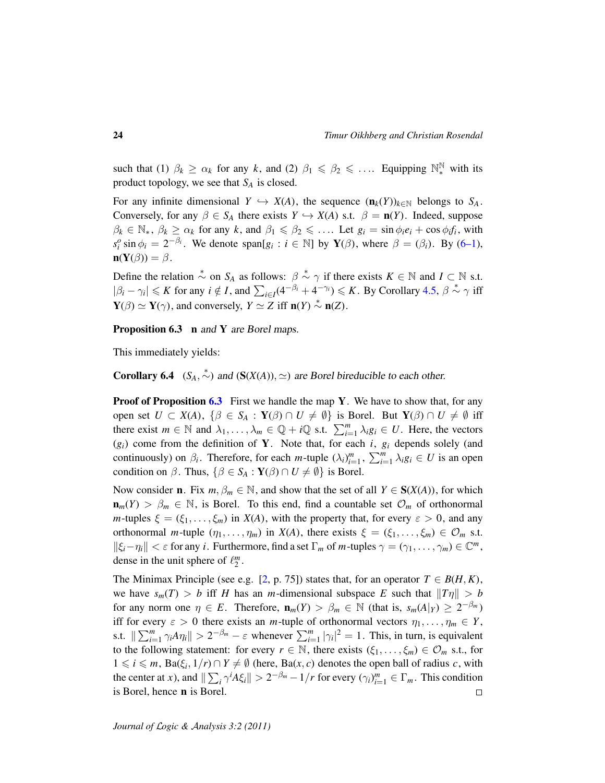such that (1)  $\beta_k \geq \alpha_k$  for any k, and (2)  $\beta_1 \leq \beta_2 \leq \ldots$  Equipping  $\mathbb{N}^{\mathbb{N}}_*$  with its product topology, we see that *S<sup>A</sup>* is closed.

For any infinite dimensional  $Y \hookrightarrow X(A)$ , the sequence  $(\mathbf{n}_k(Y))_{k \in \mathbb{N}}$  belongs to  $S_A$ . Conversely, for any  $\beta \in S_A$  there exists  $Y \hookrightarrow X(A)$  s.t.  $\beta = \mathbf{n}(Y)$ . Indeed, suppose  $\beta_k \in \mathbb{N}_*, \ \beta_k \ge \alpha_k$  for any *k*, and  $\beta_1 \le \beta_2 \le \dots$  Let  $g_i = \sin \phi_i e_i + \cos \phi_i f_i$ , with  $s_i^o$  sin  $\phi_i = 2^{-\beta_i}$ . We denote span[*g<sub>i</sub>* : *i* ∈ N] by **Y**( $\beta$ ), where  $\beta = (\beta_i)$ . By [\(6–1\)](#page-22-2),  $\mathbf{n}(\mathbf{Y}(\beta)) = \beta$ .

Define the relation  $\stackrel{*}{\sim}$  on  $S_A$  as follows:  $\beta \stackrel{*}{\sim} \gamma$  if there exists  $K \in \mathbb{N}$  and  $I \subset \mathbb{N}$  s.t.  $|\beta_i - \gamma_i| \leq K$  for any  $i \notin I$ , and  $\sum_{i \in I} (4^{-\beta_i} + 4^{-\gamma_i}) \leq K$ . By Corollary [4.5,](#page-13-2)  $\beta \stackrel{*}{\sim} \gamma$  iff  $Y(\beta) \simeq Y(\gamma)$ , and conversely,  $Y \simeq Z$  iff  $n(Y) \stackrel{*}{\sim} n(Z)$ .

<span id="page-23-0"></span>Proposition 6.3 n and Y are Borel maps.

This immediately yields:

<span id="page-23-1"></span>**Corollary 6.4**  $(S_A, \stackrel{*}{\sim})$  and  $(S(X(A)), \simeq)$  are Borel bireducible to each other.

**Proof of Proposition [6.3](#page-23-0)** First we handle the map Y. We have to show that, for any open set  $U \subset X(A)$ ,  $\{\beta \in S_A : Y(\beta) \cap U \neq \emptyset\}$  is Borel. But  $Y(\beta) \cap U \neq \emptyset$  iff there exist  $m \in \mathbb{N}$  and  $\lambda_1, \ldots, \lambda_m \in \mathbb{Q} + i\mathbb{Q}$  s.t.  $\sum_{i=1}^m \lambda_i g_i \in U$ . Here, the vectors  $(g_i)$  come from the definition of Y. Note that, for each *i*,  $g_i$  depends solely (and continuously) on  $\beta_i$ . Therefore, for each *m*-tuple  $(\lambda_i)_{i=1}^m$ ,  $\sum_{i=1}^m \lambda_i g_i \in U$  is an open condition on  $\beta$ . Thus,  $\{\beta \in S_A : \mathbf{Y}(\beta) \cap U \neq \emptyset\}$  is Borel.

Now consider **n**. Fix  $m, \beta_m \in \mathbb{N}$ , and show that the set of all  $Y \in S(X(A))$ , for which  $\mathbf{n}_m(Y) > \beta_m \in \mathbb{N}$ , is Borel. To this end, find a countable set  $\mathcal{O}_m$  of orthonormal *m*-tuples  $\xi = (\xi_1, \dots, \xi_m)$  in  $X(A)$ , with the property that, for every  $\varepsilon > 0$ , and any orthonormal *m*-tuple  $(\eta_1, \ldots, \eta_m)$  in *X*(*A*), there exists  $\xi = (\xi_1, \ldots, \xi_m) \in \mathcal{O}_m$  s.t.  $\|\xi_i-\eta_i\| < \varepsilon$  for any *i*. Furthermore, find a set  $\Gamma_m$  of *m*-tuples  $\gamma = (\gamma_1, \dots, \gamma_m) \in \mathbb{C}^m$ , dense in the unit sphere of  $\ell_2^m$ .

The Minimax Principle (see e.g. [\[2,](#page-29-12) p. 75]) states that, for an operator  $T \in B(H, K)$ , we have  $s_m(T) > b$  iff *H* has an *m*-dimensional subspace *E* such that  $||T_\eta|| > b$ for any norm one  $\eta \in E$ . Therefore,  $\mathbf{n}_m(Y) > \beta_m \in \mathbb{N}$  (that is,  $s_m(A|_Y) \geq 2^{-\beta_m}$ ) iff for every  $\varepsilon > 0$  there exists an *m*-tuple of orthonormal vectors  $\eta_1, \dots, \eta_m \in Y$ , s.t.  $\|\sum_{i=1}^m \gamma_i A \eta_i\| > 2^{-\beta_m} - \varepsilon$  whenever  $\sum_{i=1}^m |\gamma_i|^2 = 1$ . This, in turn, is equivalent to the following statement: for every  $r \in \mathbb{N}$ , there exists  $(\xi_1, \dots, \xi_m) \in \mathcal{O}_m$  s.t., for  $1 \le i \le m$ , Ba( $\xi_i$ , 1/*r*) ∩  $Y \ne \emptyset$  (here, Ba(*x*, *c*) denotes the open ball of radius *c*, with the center at *x*), and  $\|\sum_i \gamma^i A \xi_i\| > 2^{-\beta_m} - 1/r$  for every  $(\gamma_i)_{i=1}^m \in \Gamma_m$ . This condition is Borel, hence n is Borel.  $\Box$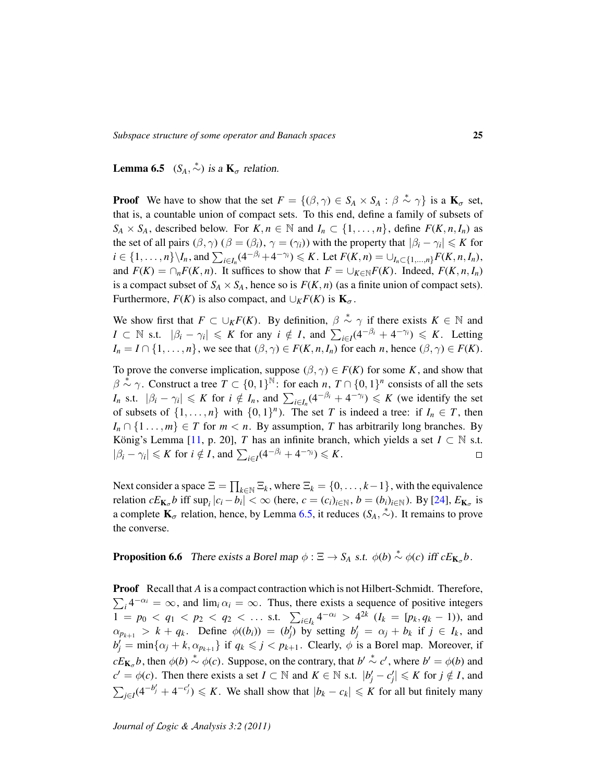<span id="page-24-0"></span>**Lemma 6.5**  $(S_A, \stackrel{*}{\sim})$  is a  $\mathbf{K}_{\sigma}$  relation.

**Proof** We have to show that the set  $F = \{(\beta, \gamma) \in S_A \times S_A : \beta \stackrel{*}{\sim} \gamma\}$  is a  $\mathbf{K}_{\sigma}$  set, that is, a countable union of compact sets. To this end, define a family of subsets of  $S_A \times S_A$ , described below. For  $K, n \in \mathbb{N}$  and  $I_n \subset \{1, \ldots, n\}$ , define  $F(K, n, I_n)$  as the set of all pairs  $(\beta, \gamma)$  ( $\beta = (\beta_i)$ ,  $\gamma = (\gamma_i)$ ) with the property that  $|\beta_i - \gamma_i| \leq K$  for  $i \in \{1,\ldots,n\} \backslash I_n$ , and  $\sum_{i \in I_n} (4^{-\beta_i} + 4^{-\gamma_i}) \leqslant K$ . Let  $F(K,n) = \bigcup_{I_n \subset \{1,\ldots,n\}} F(K,n,I_n)$ , and  $F(K) = \bigcap_n F(K, n)$ . It suffices to show that  $F = \bigcup_{K \in \mathbb{N}} F(K)$ . Indeed,  $F(K, n, I_n)$ is a compact subset of  $S_A \times S_A$ , hence so is  $F(K, n)$  (as a finite union of compact sets). Furthermore,  $F(K)$  is also compact, and  $\bigcup_K F(K)$  is  $\mathbf{K}_{\sigma}$ .

We show first that  $F \subset \bigcup_K F(K)$ . By definition,  $\beta \stackrel{*}{\sim} \gamma$  if there exists  $K \in \mathbb{N}$  and  $I \subset \mathbb{N}$  s.t.  $|\beta_i - \gamma_i| \leqslant K$  for any  $i \notin I$ , and  $\sum_{i \in I} (4^{-\beta_i} + 4^{-\gamma_i}) \leqslant K$ . Letting  $I_n = I \cap \{1, \ldots, n\}$ , we see that  $(\beta, \gamma) \in F(K, n, I_n)$  for each *n*, hence  $(\beta, \gamma) \in F(K)$ .

To prove the converse implication, suppose  $(\beta, \gamma) \in F(K)$  for some *K*, and show that  $\beta \stackrel{\tilde{*}}{\sim} \gamma$ . Construct a tree  $T \subset \{0,1\}^{\mathbb{N}}$ : for each *n*,  $T \cap \{0,1\}^n$  consists of all the sets *I<sub>n</sub>* s.t.  $|\beta_i - \gamma_i| \leq K$  for  $i \notin I_n$ , and  $\sum_{i \in I_n} (4^{-\beta_i} + 4^{-\gamma_i}) \leq K$  (we identify the set of subsets of  $\{1, \ldots, n\}$  with  $\{0, 1\}^n$ ). The set *T* is indeed a tree: if  $I_n \in T$ , then  $I_n \cap \{1 \ldots, m\} \in T$  for  $m < n$ . By assumption, *T* has arbitrarily long branches. By König's Lemma [[11,](#page-29-5) p. 20], *T* has an infinite branch, which yields a set  $I \subset \mathbb{N}$  s.t.  $|\beta_i - \gamma_i| \leqslant K$  for  $i \notin I$ , and  $\sum_{i \in I} (4^{-\beta_i} + 4^{-\gamma_i}) \leqslant K$ .  $\Box$ 

Next consider a space  $\Xi = \prod_{k \in \mathbb{N}} \Xi_k$ , where  $\Xi_k = \{0, \ldots, k-1\}$ , with the equivalence relation  $cE_{\mathbf{K}_{\sigma}}b$  iff  $\sup_i |c_i - b_i| < \infty$  (here,  $c = (c_i)_{i \in \mathbb{N}}$ ,  $b = (b_i)_{i \in \mathbb{N}}$ ). By [\[24\]](#page-30-8),  $E_{\mathbf{K}_{\sigma}}$  is a complete  $\mathbf{K}_{\sigma}$  relation, hence, by Lemma [6.5,](#page-24-0) it reduces  $(S_A, \stackrel{*}{\sim})$ . It remains to prove the converse.

<span id="page-24-1"></span>**Proposition 6.6** There exists a Borel map  $\phi$  :  $\Xi \rightarrow S_A$  *s.t.*  $\phi(b) \stackrel{*}{\sim} \phi(c)$  iff  $cE_{\mathbf{K}_{\sigma}}b$ .

**Proof** Recall that *A* is a compact contraction which is not Hilbert-Schmidt. Therefore,  $\sum_i 4^{-\alpha_i} = \infty$ , and  $\lim_i \alpha_i = \infty$ . Thus, there exists a sequence of positive integers  $1 = p_0 < q_1 < p_2 < q_2 < \dots$  s.t.  $\sum_{i \in I_k} 4^{-\alpha_i} > 4^{2k} (I_k = [p_k, q_k - 1))$ , and  $\alpha_{p_{k+1}} > k + q_k$ . Define  $\phi((b_i)) = (b'_j)$  by setting  $b'_j = \alpha_j + b_k$  if  $j \in I_k$ , and  $b'_j = \min\{\alpha_j + k, \alpha_{p_{k+1}}\}$  if  $q_k \leq j < p_{k+1}$ . Clearly,  $\phi$  is a Borel map. Moreover, if  $cE_{\mathbf{K}_{\sigma}}b$ , then  $\phi(b) \stackrel{*}{\sim} \phi(c)$ . Suppose, on the contrary, that  $b' \stackrel{*}{\sim} c'$ , where  $b' = \phi(b)$  and  $c' = \phi(c)$ . Then there exists a set  $I \subset \mathbb{N}$  and  $K \in \mathbb{N}$  s.t.  $|b'_j - c'_j| \leqslant K$  for  $j \notin I$ , and  $\sum_{j\in I} (4^{-b'_j} + 4^{-c'_j}) \leq K$ . We shall show that  $|b_k - c_k| \leq K$  for all but finitely many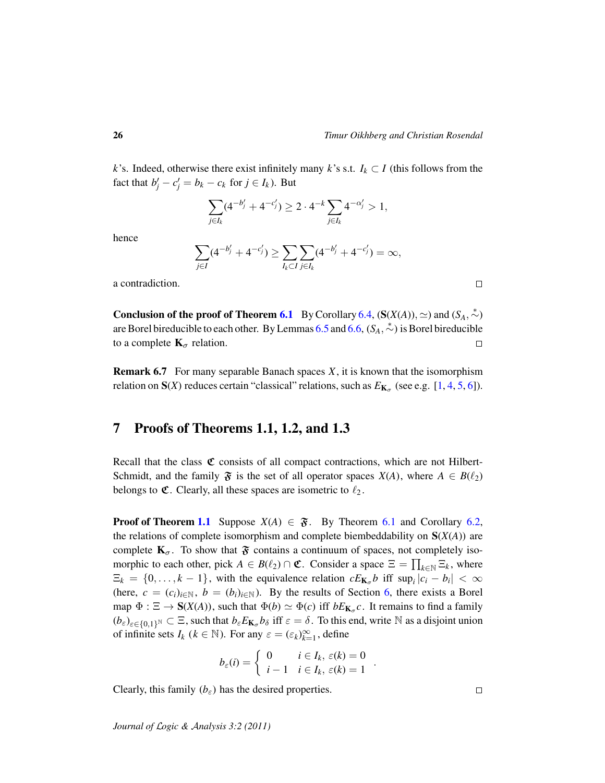*k*'s. Indeed, otherwise there exist infinitely many *k*'s s.t.  $I_k \subset I$  (this follows from the fact that  $b'_j - c'_j = b_k - c_k$  for  $j \in I_k$ ). But

$$
\sum_{j\in I_k}(4^{-b'_j}+4^{-c'_j})\geq 2\cdot 4^{-k}\sum_{j\in I_k}4^{-\alpha'_j}>1,
$$

hence

$$
\sum_{j\in I} (4^{-b'_j} + 4^{-c'_j}) \ge \sum_{l_k \subset I} \sum_{j\in I_k} (4^{-b'_j} + 4^{-c'_j}) = \infty,
$$

a contradiction.

**Conclusion of the proof of Theorem [6.1](#page-22-0)** By Corollary [6.4,](#page-23-1)  $(S(X(A)), \simeq)$  and  $(S_A, \stackrel{*}{\sim})$ are Borel bireducible to each other. By Lemmas [6.5](#page-24-0) and [6.6,](#page-24-1) (*SA*, <sup>∗</sup>∼) is Borel bireducible to a complete  $\mathbf{K}_{\sigma}$  relation.  $\Box$ 

Remark 6.7 For many separable Banach spaces *X*, it is known that the isomorphism relation on  $S(X)$  reduces certain "classical" relations, such as  $E_{K_{\sigma}}$  (see e.g. [\[1,](#page-29-17) [4,](#page-29-0) [5,](#page-29-1) [6\]](#page-29-2)).

### <span id="page-25-0"></span>7 Proofs of Theorems 1.1, 1.2, and 1.3

Recall that the class  $\mathfrak C$  consists of all compact contractions, which are not Hilbert-Schmidt, and the family  $\mathfrak{F}$  is the set of all operator spaces  $X(A)$ , where  $A \in B(\ell_2)$ belongs to  $\mathfrak{C}$ . Clearly, all these spaces are isometric to  $\ell_2$ .

**Proof of Theorem [1.1](#page-1-2)** Suppose  $X(A) \in \mathfrak{F}$ . By Theorem [6.1](#page-22-0) and Corollary [6.2,](#page-22-1) the relations of complete isomorphism and complete biembeddability on S(*X*(*A*)) are complete  $K_{\sigma}$ . To show that  $\mathfrak{F}$  contains a continuum of spaces, not completely isomorphic to each other, pick  $A \in B(\ell_2) \cap \mathfrak{C}$ . Consider a space  $\Xi = \prod_{k \in \mathbb{N}} \Xi_k$ , where  $\Xi_k = \{0, \ldots, k-1\}$ , with the equivalence relation  $cE_{\mathbf{K}_{\sigma}}b$  iff  $\sup_i |c_i - b_i| < \infty$ (here,  $c = (c_i)_{i \in \mathbb{N}}, b = (b_i)_{i \in \mathbb{N}}$ ). By the results of Section [6,](#page-21-0) there exists a Borel map  $\Phi$  :  $\Xi \to S(X(A))$ , such that  $\Phi(b) \simeq \Phi(c)$  iff  $bE_{K_{\sigma}}c$ . It remains to find a family  $(b_{\varepsilon})_{\varepsilon \in \{0,1\}^{\mathbb{N}}} \subset \Xi$ , such that  $b_{\varepsilon} E_{\mathbf{K}_{\sigma}} b_{\delta}$  iff  $\varepsilon = \delta$ . To this end, write  $\mathbb N$  as a disjoint union of infinite sets  $I_k$  ( $k \in \mathbb{N}$ ). For any  $\varepsilon = (\varepsilon_k)_{k=1}^{\infty}$ , define

$$
b_{\varepsilon}(i) = \begin{cases} 0 & i \in I_k, \ \varepsilon(k) = 0 \\ i - 1 & i \in I_k, \ \varepsilon(k) = 1 \end{cases}
$$

.

Clearly, this family  $(b_{\varepsilon})$  has the desired properties.

 $\Box$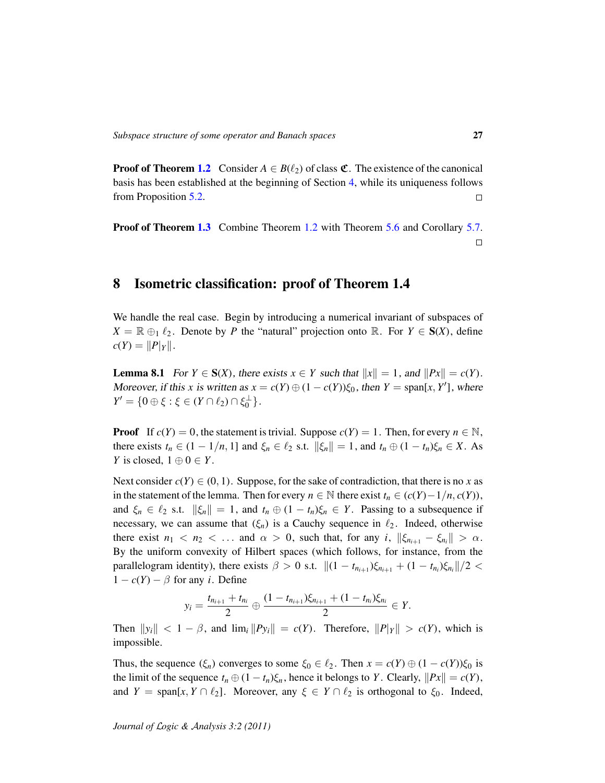**Proof of Theorem [1.2](#page-1-0)** Consider  $A \in B(\ell_2)$  of class  $\mathfrak{C}$ . The existence of the canonical basis has been established at the beginning of Section [4,](#page-11-0) while its uniqueness follows from Proposition [5.2.](#page-18-0)  $\Box$ 

Proof of Theorem [1.3](#page-1-1) Combine Theorem [1.2](#page-1-0) with Theorem [5.6](#page-20-0) and Corollary [5.7.](#page-20-1)  $\Box$ 

### <span id="page-26-0"></span>8 Isometric classification: proof of Theorem 1.4

We handle the real case. Begin by introducing a numerical invariant of subspaces of  $X = \mathbb{R} \oplus_1 \ell_2$ . Denote by *P* the "natural" projection onto  $\mathbb{R}$ . For  $Y \in S(X)$ , define  $c(Y) = ||P||_Y||.$ 

<span id="page-26-1"></span>**Lemma 8.1** For  $Y \in S(X)$ , there exists  $x \in Y$  such that  $||x|| = 1$ , and  $||Px|| = c(Y)$ . Moreover, if this *x* is written as  $x = c(Y) \oplus (1 - c(Y))\xi_0$ , then  $Y = \text{span}[x, Y']$ , where  $Y' = \{0 \oplus \xi : \xi \in (Y \cap \ell_2) \cap \xi_0^{\perp}\}.$ 

**Proof** If  $c(Y) = 0$ , the statement is trivial. Suppose  $c(Y) = 1$ . Then, for every  $n \in \mathbb{N}$ , there exists  $t_n \in (1 - 1/n, 1]$  and  $\xi_n \in \ell_2$  s.t.  $\|\xi_n\| = 1$ , and  $t_n \oplus (1 - t_n)\xi_n \in X$ . As *Y* is closed,  $1 \oplus 0 \in Y$ .

Next consider  $c(Y) \in (0, 1)$ . Suppose, for the sake of contradiction, that there is no x as in the statement of the lemma. Then for every *n* ∈ N there exist  $t_n$  ∈ ( $c(Y) - 1/n$ ,  $c(Y)$ ), and  $\xi_n \in \ell_2$  s.t.  $\|\xi_n\| = 1$ , and  $t_n \oplus (1 - t_n)\xi_n \in Y$ . Passing to a subsequence if necessary, we can assume that  $(\xi_n)$  is a Cauchy sequence in  $\ell_2$ . Indeed, otherwise there exist  $n_1 < n_2 < \ldots$  and  $\alpha > 0$ , such that, for any *i*,  $\|\xi_{n_{i+1}} - \xi_{n_i}\| > \alpha$ . By the uniform convexity of Hilbert spaces (which follows, for instance, from the parallelogram identity), there exists  $\beta > 0$  s.t.  $||(1 - t_{n_{i+1}})\xi_{n_{i+1}} + (1 - t_{n_i})\xi_{n_i}||/2 <$  $1 - c(Y) - \beta$  for any *i*. Define

$$
y_i = \frac{t_{n_{i+1}} + t_{n_i}}{2} \oplus \frac{(1 - t_{n_{i+1}})\xi_{n_{i+1}} + (1 - t_{n_i})\xi_{n_i}}{2} \in Y.
$$

Then  $||y_i|| < 1 - \beta$ , and  $\lim_i ||Py_i|| = c(Y)$ . Therefore,  $||P| |y|| > c(Y)$ , which is impossible.

Thus, the sequence  $(\xi_n)$  converges to some  $\xi_0 \in \ell_2$ . Then  $x = c(Y) \oplus (1 - c(Y))\xi_0$  is the limit of the sequence  $t_n \oplus (1 - t_n)\xi_n$ , hence it belongs to *Y*. Clearly,  $||Px|| = c(Y)$ , and *Y* = span[*x*, *Y* ∩  $\ell_2$ ]. Moreover, any  $\xi \in Y \cap \ell_2$  is orthogonal to  $\xi_0$ . Indeed,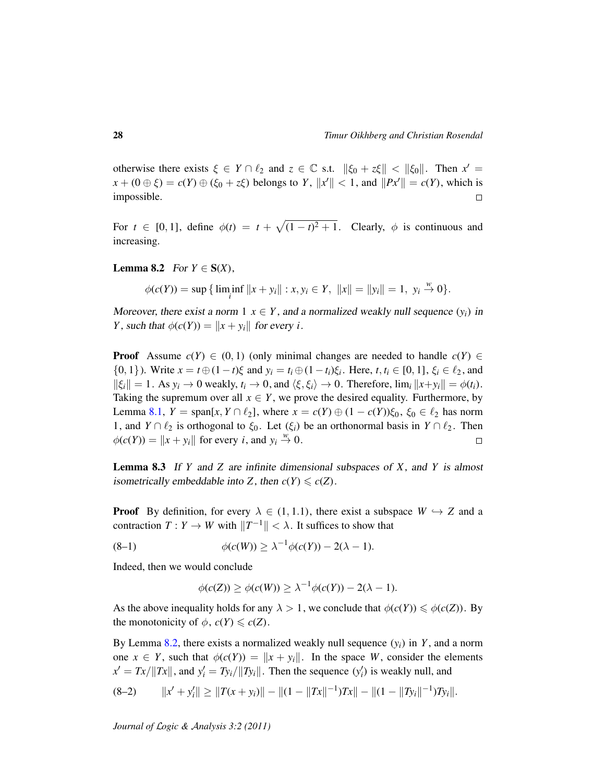otherwise there exists  $\xi \in Y \cap \ell_2$  and  $z \in \mathbb{C}$  s.t.  $\|\xi_0 + z\xi\| < \|\xi_0\|$ . Then  $x' =$  $x + (0 \oplus \xi) = c(Y) \oplus (\xi_0 + z\xi)$  belongs to *Y*,  $||x'|| < 1$ , and  $||Px'|| = c(Y)$ , which is impossible.  $\Box$ 

For  $t \in [0, 1]$ , define  $\phi(t) = t + \sqrt{(1 - t)^2 + 1}$ . Clearly,  $\phi$  is continuous and increasing.

<span id="page-27-0"></span>**Lemma 8.2** For  $Y \in S(X)$ ,

$$
\phi(c(Y)) = \sup \{ \liminf_{i} ||x + y_i|| : x, y_i \in Y, ||x|| = ||y_i|| = 1, y_i \stackrel{w}{\to} 0 \}.
$$

Moreover, there exist a norm  $1 \times Y$ , and a normalized weakly null sequence  $(y_i)$  in *Y*, such that  $\phi(c(Y)) = ||x + y_i||$  for every *i*.

**Proof** Assume  $c(Y) \in (0, 1)$  (only minimal changes are needed to handle  $c(Y) \in$ {0, 1}). Write  $x = t \oplus (1 - t)\xi$  and  $y_i = t_i \oplus (1 - t_i)\xi_i$ . Here,  $t, t_i \in [0, 1]$ ,  $\xi_i \in \ell_2$ , and  $\|\xi_i\| = 1$ . As  $y_i \to 0$  weakly,  $t_i \to 0$ , and  $\langle \xi, \xi_i \rangle \to 0$ . Therefore,  $\lim_i \|x + y_i\| = \phi(t_i)$ . Taking the supremum over all  $x \in Y$ , we prove the desired equality. Furthermore, by Lemma [8.1,](#page-26-1)  $Y = \text{span}[x, Y \cap \ell_2]$ , where  $x = c(Y) \oplus (1 - c(Y))\xi_0$ ,  $\xi_0 \in \ell_2$  has norm 1, and *Y* ∩  $\ell_2$  is orthogonal to  $\xi_0$ . Let  $(\xi_i)$  be an orthonormal basis in *Y* ∩  $\ell_2$ . Then  $\phi(c(Y)) = ||x + y_i||$  for every *i*, and  $y_i \stackrel{w}{\rightarrow} 0$ .  $\Box$ 

<span id="page-27-3"></span>Lemma 8.3 If *Y* and *Z* are infinite dimensional subspaces of *X*, and *Y* is almost isometrically embeddable into *Z*, then  $c(Y) \leq c(Z)$ .

**Proof** By definition, for every  $\lambda \in (1, 1.1)$ , there exist a subspace  $W \hookrightarrow Z$  and a contraction  $T: Y \to W$  with  $||T^{-1}|| < \lambda$ . It suffices to show that

$$
\phi(c(W)) \geq \lambda^{-1} \phi(c(Y)) - 2(\lambda - 1).
$$

Indeed, then we would conclude

<span id="page-27-2"></span>
$$
\phi(c(Z)) \ge \phi(c(W)) \ge \lambda^{-1} \phi(c(Y)) - 2(\lambda - 1).
$$

As the above inequality holds for any  $\lambda > 1$ , we conclude that  $\phi(c(Y)) \leq \phi(c(Z))$ . By the monotonicity of  $\phi$ ,  $c(Y) \leqslant c(Z)$ .

By Lemma [8.2,](#page-27-0) there exists a normalized weakly null sequence  $(y_i)$  in *Y*, and a norm one  $x \in Y$ , such that  $\phi(c(Y)) = ||x + y_i||$ . In the space *W*, consider the elements  $x' = Tx / ||Tx||$ , and  $y'_i = Ty_i / ||Ty_i||$ . Then the sequence  $(y'_i)$  is weakly null, and

<span id="page-27-1"></span>
$$
(8-2) \t||x' + y_i'|| \ge ||T(x + y_i)|| - ||(1 - ||Tx||^{-1})Tx|| - ||(1 - ||Ty_i||^{-1})Ty_i||.
$$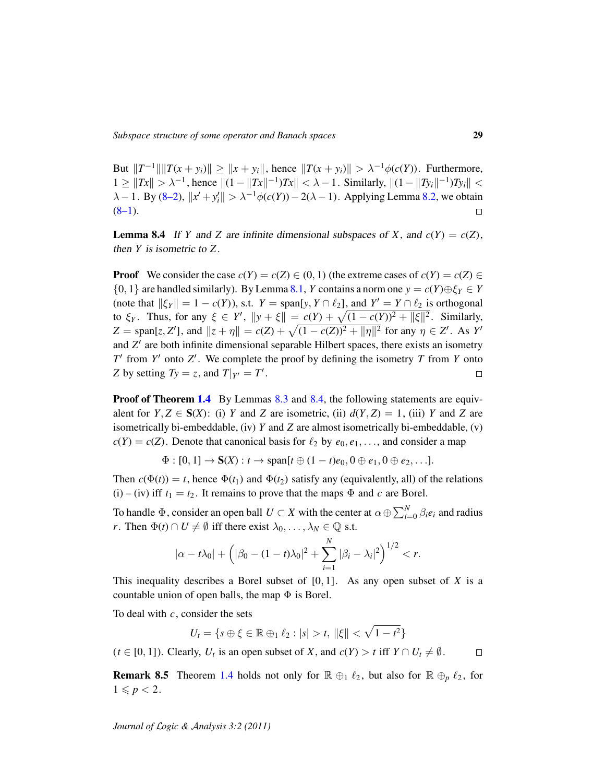But  $||T^{-1}|| ||T(x + y_i)|| \ge ||x + y_i||$ , hence  $||T(x + y_i)|| > \lambda^{-1}\phi(c(Y))$ . Furthermore,  $1 \geq ||Tx|| > λ^{-1}$ , hence  $||(1 - ||Tx||^{-1})Tx|| < λ - 1$ . Similarly,  $||(1 - ||Ty_i||^{-1})Ty_i|| <$  $\lambda - 1$ . By [\(8–2\)](#page-27-1),  $||x' + y'_i|| > \lambda^{-1}\phi(c(Y)) - 2(\lambda - 1)$ . Applying Lemma [8.2,](#page-27-0) we obtain  $(8-1)$ .  $\Box$ 

<span id="page-28-0"></span>**Lemma 8.4** If *Y* and *Z* are infinite dimensional subspaces of *X*, and  $c(Y) = c(Z)$ , then *Y* is isometric to *Z*.

**Proof** We consider the case  $c(Y) = c(Z) \in (0, 1)$  (the extreme cases of  $c(Y) = c(Z) \in$  $\{0, 1\}$  are handled similarly). By Lemma [8.1,](#page-26-1) *Y* contains a norm one  $y = c(Y) \oplus \xi_Y \in Y$ (note that  $\|\xi_Y\| = 1 - c(Y)$ ), s.t.  $Y = \text{span}[y, Y \cap \ell_2]$ , and  $Y' = Y \cap \ell_2$  is orthogonal to  $\xi_Y$ . Thus, for any  $\xi \in Y'$ ,  $||y + \xi|| = c(Y) + \sqrt{(1 - c(Y))^2 + ||\xi||^2}$ . Similarly,  $Z = \text{span}[z, Z']$ , and  $||z + \eta|| = c(Z) + \sqrt{(1 - c(Z))^2 + ||\eta||^2}$  for any  $\eta \in Z'$ . As *Y'* and Z' are both infinite dimensional separable Hilbert spaces, there exists an isometry  $T'$  from  $Y'$  onto  $Z'$ . We complete the proof by defining the isometry  $T$  from  $Y$  onto *Z* by setting  $Ty = z$ , and  $T|_{Y'} = T'$ .  $\Box$ 

**Proof of Theorem [1.4](#page-2-0)** By Lemmas [8.3](#page-27-3) and [8.4,](#page-28-0) the following statements are equivalent for  $Y, Z \in S(X)$ : (i) *Y* and *Z* are isometric, (ii)  $d(Y, Z) = 1$ , (iii) *Y* and *Z* are isometrically bi-embeddable, (iv) *Y* and *Z* are almost isometrically bi-embeddable, (v)  $c(Y) = c(Z)$ . Denote that canonical basis for  $\ell_2$  by  $e_0, e_1, \ldots$ , and consider a map

$$
\Phi:[0,1]\rightarrow S(X):t\rightarrow span[t\oplus(1-t)e_0,0\oplus e_1,0\oplus e_2,\ldots].
$$

Then  $c(\Phi(t)) = t$ , hence  $\Phi(t_1)$  and  $\Phi(t_2)$  satisfy any (equivalently, all) of the relations (i) – (iv) iff  $t_1 = t_2$ . It remains to prove that the maps  $\Phi$  and *c* are Borel.

To handle  $\Phi$ , consider an open ball  $U \subset X$  with the center at  $\alpha \oplus \sum_{i=0}^{N} \beta_i e_i$  and radius *r*. Then  $\Phi(t) \cap U \neq \emptyset$  iff there exist  $\lambda_0, \dots, \lambda_N \in \mathbb{Q}$  s.t.

$$
|\alpha - t\lambda_0| + (|\beta_0 - (1 - t)\lambda_0|^2 + \sum_{i=1}^N |\beta_i - \lambda_i|^2)^{1/2} < r.
$$

This inequality describes a Borel subset of [0, 1]. As any open subset of *X* is a countable union of open balls, the map  $\Phi$  is Borel.

To deal with *c*, consider the sets

 $U_t = \{ s \oplus \xi \in \mathbb{R} \oplus_1 \ell_2 : |s| > t, \, \|\xi\| < \sqrt{1-t^2} \}$ 

 $(t \in [0, 1])$ . Clearly,  $U_t$  is an open subset of *X*, and  $c(Y) > t$  iff  $Y \cap U_t \neq \emptyset$ .  $\Box$ 

**Remark 8.5** Theorem [1.4](#page-2-0) holds not only for  $\mathbb{R} \oplus_1 \ell_2$ , but also for  $\mathbb{R} \oplus_p \ell_2$ , for  $1 \leq p < 2$ .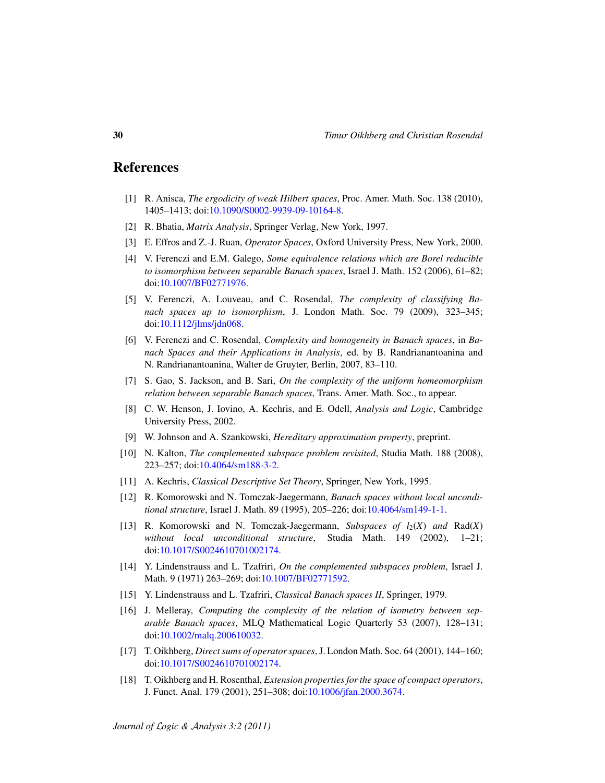#### References

- <span id="page-29-17"></span>[1] R. Anisca, *The ergodicity of weak Hilbert spaces*, Proc. Amer. Math. Soc. 138 (2010), 1405–1413; doi[:10.1090/S0002-9939-09-10164-8.](http://dx.doi.org/10.1090/S0002-9939-09-10164-8)
- <span id="page-29-12"></span>[2] R. Bhatia, *Matrix Analysis*, Springer Verlag, New York, 1997.
- <span id="page-29-10"></span>[3] E. Effros and Z.-J. Ruan, *Operator Spaces*, Oxford University Press, New York, 2000.
- <span id="page-29-0"></span>[4] V. Ferenczi and E.M. Galego, *Some equivalence relations which are Borel reducible to isomorphism between separable Banach spaces*, Israel J. Math. 152 (2006), 61–82; doi[:10.1007/BF02771976.](http://dx.doi.org/10.1007/BF02771976)
- <span id="page-29-1"></span>[5] V. Ferenczi, A. Louveau, and C. Rosendal, *The complexity of classifying Banach spaces up to isomorphism*, J. London Math. Soc. 79 (2009), 323–345; doi[:10.1112/jlms/jdn068.](http://dx.doi.org/10.1112/jlms/jdn068)
- <span id="page-29-2"></span>[6] V. Ferenczi and C. Rosendal, *Complexity and homogeneity in Banach spaces*, in *Banach Spaces and their Applications in Analysis*, ed. by B. Randrianantoanina and N. Randrianantoanina, Walter de Gruyter, Berlin, 2007, 83–110.
- <span id="page-29-4"></span>[7] S. Gao, S. Jackson, and B. Sari, *On the complexity of the uniform homeomorphism relation between separable Banach spaces*, Trans. Amer. Math. Soc., to appear.
- <span id="page-29-6"></span>[8] C. W. Henson, J. Iovino, A. Kechris, and E. Odell, *Analysis and Logic*, Cambridge University Press, 2002.
- <span id="page-29-16"></span>[9] W. Johnson and A. Szankowski, *Hereditary approximation property*, preprint.
- <span id="page-29-15"></span>[10] N. Kalton, *The complemented subspace problem revisited*, Studia Math. 188 (2008), 223–257; doi[:10.4064/sm188-3-2.](http://dx.doi.org/10.4064/sm188-3-2)
- <span id="page-29-5"></span>[11] A. Kechris, *Classical Descriptive Set Theory*, Springer, New York, 1995.
- <span id="page-29-8"></span>[12] R. Komorowski and N. Tomczak-Jaegermann, *Banach spaces without local unconditional structure*, Israel J. Math. 89 (1995), 205–226; doi[:10.4064/sm149-1-1.](http://dx.doi.org/10.4064/sm149-1-1)
- <span id="page-29-9"></span>[13] R. Komorowski and N. Tomczak-Jaegermann, *Subspaces of*  $l_2(X)$  *and* Rad(*X*) *without local unconditional structure*, Studia Math. 149 (2002), 1–21; doi[:10.1017/S0024610701002174.](http://dx.doi.org/10.1017/S0024610701002174)
- <span id="page-29-14"></span>[14] Y. Lindenstrauss and L. Tzafriri, *On the complemented subspaces problem*, Israel J. Math. 9 (1971) 263–269; doi[:10.1007/BF02771592.](http://dx.doi.org/10.1007/BF02771592)
- <span id="page-29-7"></span>[15] Y. Lindenstrauss and L. Tzafriri, *Classical Banach spaces II*, Springer, 1979.
- <span id="page-29-3"></span>[16] J. Melleray, *Computing the complexity of the relation of isometry between separable Banach spaces*, MLQ Mathematical Logic Quarterly 53 (2007), 128–131; doi[:10.1002/malq.200610032.](http://dx.doi.org/10.1002/malq.200610032)
- <span id="page-29-13"></span>[17] T. Oikhberg, *Direct sums of operator spaces*, J. London Math. Soc. 64 (2001), 144–160; doi[:10.1017/S0024610701002174.](http://dx.doi.org/10.1017/S0024610701002174)
- <span id="page-29-11"></span>[18] T. Oikhberg and H. Rosenthal, *Extension properties for the space of compact operators*, J. Funct. Anal. 179 (2001), 251–308; doi[:10.1006/jfan.2000.3674.](http://dx.doi.org/10.1006/jfan.2000.3674)